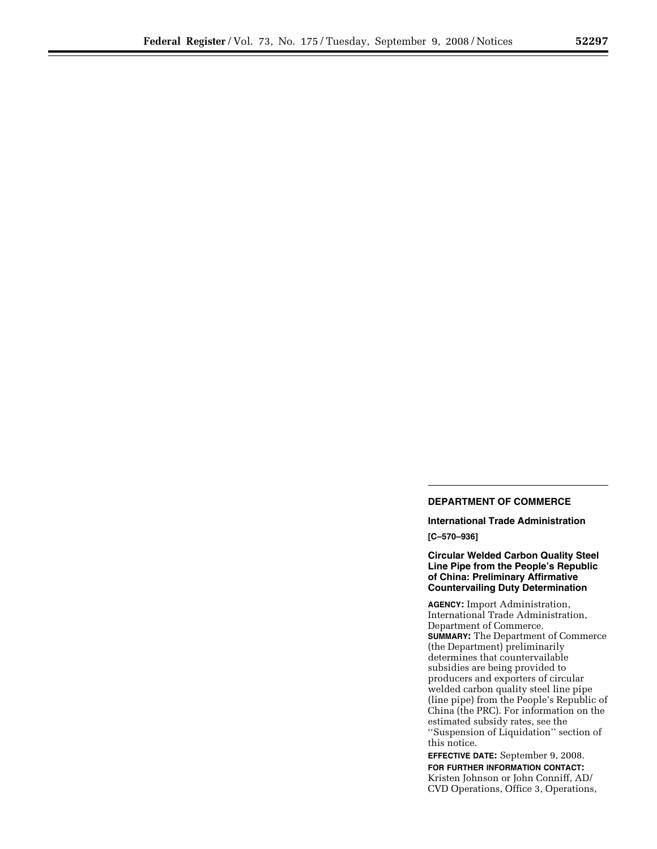# **DEPARTMENT OF COMMERCE**

**International Trade Administration** 

**[C–570–936]** 

# **Circular Welded Carbon Quality Steel Line Pipe from the People's Republic of China: Preliminary Affirmative Countervailing Duty Determination**

**AGENCY:** Import Administration, International Trade Administration, Department of Commerce. **SUMMARY:** The Department of Commerce (the Department) preliminarily determines that countervailable subsidies are being provided to producers and exporters of circular welded carbon quality steel line pipe (line pipe) from the People's Republic of China (the PRC). For information on the estimated subsidy rates, see the ''Suspension of Liquidation'' section of this notice.

**EFFECTIVE DATE:** September 9, 2008. **FOR FURTHER INFORMATION CONTACT:**  Kristen Johnson or John Conniff, AD/ CVD Operations, Office 3, Operations,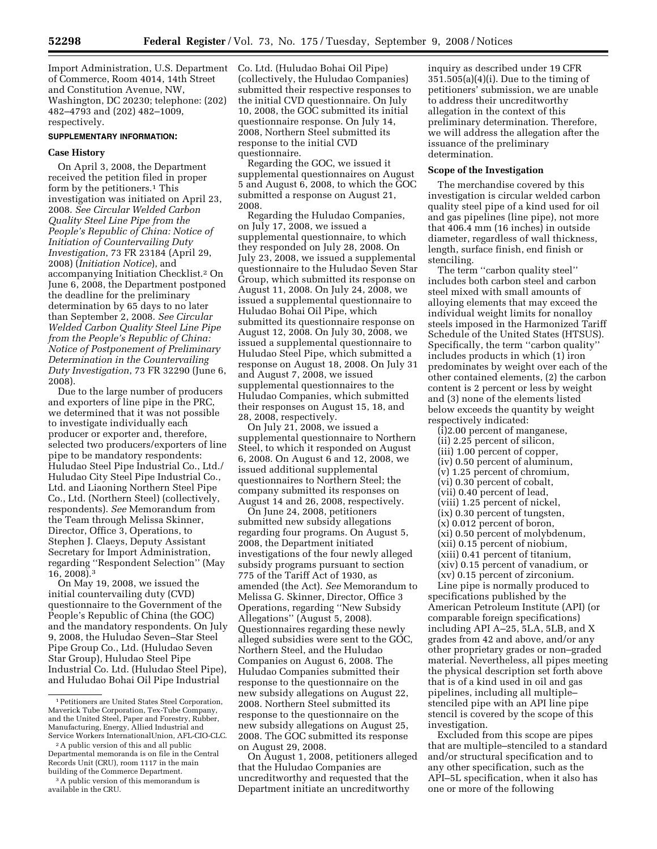Import Administration, U.S. Department of Commerce, Room 4014, 14th Street and Constitution Avenue, NW, Washington, DC 20230; telephone: (202) 482–4793 and (202) 482–1009, respectively.

#### **SUPPLEMENTARY INFORMATION:**

### **Case History**

On April 3, 2008, the Department received the petition filed in proper form by the petitioners.<sup>1</sup> This investigation was initiated on April 23, 2008. *See Circular Welded Carbon Quality Steel Line Pipe from the People's Republic of China: Notice of Initiation of Countervailing Duty Investigation*, 73 FR 23184 (April 29, 2008) (*Initiation Notice*), and accompanying Initiation Checklist.2 On June 6, 2008, the Department postponed the deadline for the preliminary determination by 65 days to no later than September 2, 2008. *See Circular Welded Carbon Quality Steel Line Pipe from the People's Republic of China: Notice of Postponement of Preliminary Determination in the Countervailing Duty Investigation*, 73 FR 32290 (June 6, 2008).

Due to the large number of producers and exporters of line pipe in the PRC, we determined that it was not possible to investigate individually each producer or exporter and, therefore, selected two producers/exporters of line pipe to be mandatory respondents: Huludao Steel Pipe Industrial Co., Ltd./ Huludao City Steel Pipe Industrial Co., Ltd. and Liaoning Northern Steel Pipe Co., Ltd. (Northern Steel) (collectively, respondents). *See* Memorandum from the Team through Melissa Skinner, Director, Office 3, Operations, to Stephen J. Claeys, Deputy Assistant Secretary for Import Administration, regarding ''Respondent Selection'' (May 16, 2008).3

On May 19, 2008, we issued the initial countervailing duty (CVD) questionnaire to the Government of the People's Republic of China (the GOC) and the mandatory respondents. On July 9, 2008, the Huludao Seven–Star Steel Pipe Group Co., Ltd. (Huludao Seven Star Group), Huludao Steel Pipe Industrial Co. Ltd. (Huludao Steel Pipe), and Huludao Bohai Oil Pipe Industrial

Co. Ltd. (Huludao Bohai Oil Pipe) (collectively, the Huludao Companies) submitted their respective responses to the initial CVD questionnaire. On July 10, 2008, the GOC submitted its initial questionnaire response. On July 14, 2008, Northern Steel submitted its response to the initial CVD questionnaire.

Regarding the GOC, we issued it supplemental questionnaires on August 5 and August 6, 2008, to which the GOC submitted a response on August 21, 2008.

Regarding the Huludao Companies, on July 17, 2008, we issued a supplemental questionnaire, to which they responded on July 28, 2008. On July 23, 2008, we issued a supplemental questionnaire to the Huludao Seven Star Group, which submitted its response on August 11, 2008. On July 24, 2008, we issued a supplemental questionnaire to Huludao Bohai Oil Pipe, which submitted its questionnaire response on August 12, 2008. On July 30, 2008, we issued a supplemental questionnaire to Huludao Steel Pipe, which submitted a response on August 18, 2008. On July 31 and August 7, 2008, we issued supplemental questionnaires to the Huludao Companies, which submitted their responses on August 15, 18, and 28, 2008, respectively.

On July 21, 2008, we issued a supplemental questionnaire to Northern Steel, to which it responded on August 6, 2008. On August 6 and 12, 2008, we issued additional supplemental questionnaires to Northern Steel; the company submitted its responses on August 14 and 26, 2008, respectively.

On June 24, 2008, petitioners submitted new subsidy allegations regarding four programs. On August 5, 2008, the Department initiated investigations of the four newly alleged subsidy programs pursuant to section 775 of the Tariff Act of 1930, as amended (the Act). *See* Memorandum to Melissa G. Skinner, Director, Office 3 Operations, regarding ''New Subsidy Allegations'' (August 5, 2008). Questionnaires regarding these newly alleged subsidies were sent to the GOC, Northern Steel, and the Huludao Companies on August 6, 2008. The Huludao Companies submitted their response to the questionnaire on the new subsidy allegations on August 22, 2008. Northern Steel submitted its response to the questionnaire on the new subsidy allegations on August 25, 2008. The GOC submitted its response on August 29, 2008.

On August 1, 2008, petitioners alleged that the Huludao Companies are uncreditworthy and requested that the Department initiate an uncreditworthy

inquiry as described under 19 CFR  $351.505(a)(4)(i)$ . Due to the timing of petitioners' submission, we are unable to address their uncreditworthy allegation in the context of this preliminary determination. Therefore, we will address the allegation after the issuance of the preliminary determination.

### **Scope of the Investigation**

The merchandise covered by this investigation is circular welded carbon quality steel pipe of a kind used for oil and gas pipelines (line pipe), not more that 406.4 mm (16 inches) in outside diameter, regardless of wall thickness, length, surface finish, end finish or stenciling.

The term "carbon quality steel" includes both carbon steel and carbon steel mixed with small amounts of alloying elements that may exceed the individual weight limits for nonalloy steels imposed in the Harmonized Tariff Schedule of the United States (HTSUS). Specifically, the term ''carbon quality'' includes products in which (1) iron predominates by weight over each of the other contained elements, (2) the carbon content is 2 percent or less by weight and (3) none of the elements listed below exceeds the quantity by weight respectively indicated:

(i)2.00 percent of manganese, (ii) 2.25 percent of silicon, (iii) 1.00 percent of copper, (iv) 0.50 percent of aluminum, (v) 1.25 percent of chromium, (vi) 0.30 percent of cobalt, (vii) 0.40 percent of lead, (viii) 1.25 percent of nickel, (ix) 0.30 percent of tungsten, (x) 0.012 percent of boron, (xi) 0.50 percent of molybdenum, (xii) 0.15 percent of niobium, (xiii) 0.41 percent of titanium, (xiv) 0.15 percent of vanadium, or (xv) 0.15 percent of zirconium.

Line pipe is normally produced to specifications published by the American Petroleum Institute (API) (or comparable foreign specifications) including API A–25, 5LA, 5LB, and X grades from 42 and above, and/or any other proprietary grades or non–graded material. Nevertheless, all pipes meeting the physical description set forth above that is of a kind used in oil and gas pipelines, including all multiple– stenciled pipe with an API line pipe stencil is covered by the scope of this investigation.

Excluded from this scope are pipes that are multiple–stenciled to a standard and/or structural specification and to any other specification, such as the API–5L specification, when it also has one or more of the following

<sup>1</sup>Petitioners are United States Steel Corporation, Maverick Tube Corporation, Tex-Tube Company, and the United Steel, Paper and Forestry, Rubber, Manufacturing, Energy, Allied Industrial and Service Workers InternationalUnion, AFL-CIO-CLC.

<sup>2</sup>A public version of this and all public Departmental memoranda is on file in the Central Records Unit (CRU), room 1117 in the main building of the Commerce Department.

<sup>3</sup>A public version of this memorandum is available in the CRU.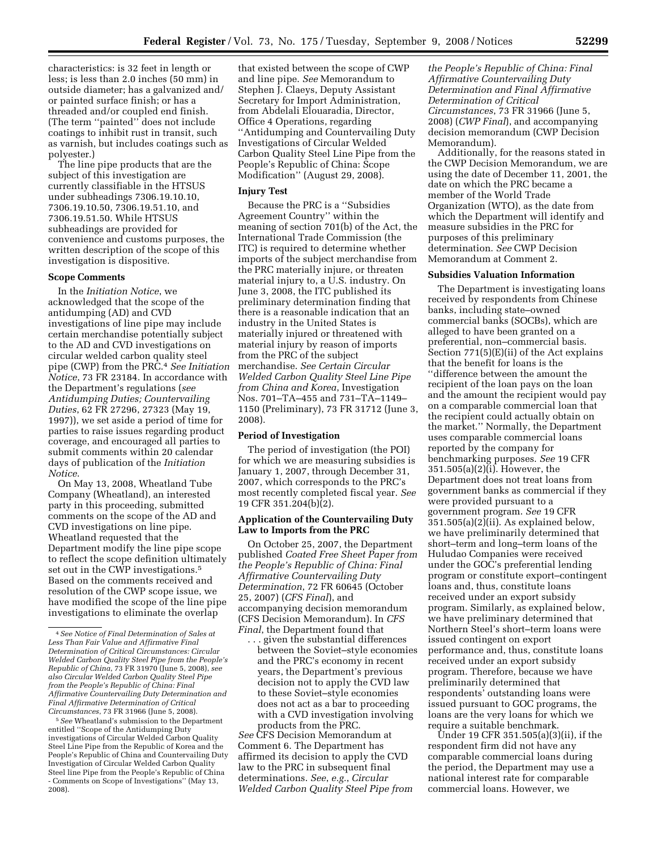characteristics: is 32 feet in length or less; is less than 2.0 inches (50 mm) in outside diameter; has a galvanized and/ or painted surface finish; or has a threaded and/or coupled end finish. (The term ''painted'' does not include coatings to inhibit rust in transit, such as varnish, but includes coatings such as polyester.)

The line pipe products that are the subject of this investigation are currently classifiable in the HTSUS under subheadings 7306.19.10.10, 7306.19.10.50, 7306.19.51.10, and 7306.19.51.50. While HTSUS subheadings are provided for convenience and customs purposes, the written description of the scope of this investigation is dispositive.

## **Scope Comments**

In the *Initiation Notice*, we acknowledged that the scope of the antidumping (AD) and CVD investigations of line pipe may include certain merchandise potentially subject to the AD and CVD investigations on circular welded carbon quality steel pipe (CWP) from the PRC.4 *See Initiation Notice*, 73 FR 23184. In accordance with the Department's regulations (*see Antidumping Duties; Countervailing Duties*, 62 FR 27296, 27323 (May 19, 1997)), we set aside a period of time for parties to raise issues regarding product coverage, and encouraged all parties to submit comments within 20 calendar days of publication of the *Initiation Notice*.

On May 13, 2008, Wheatland Tube Company (Wheatland), an interested party in this proceeding, submitted comments on the scope of the AD and CVD investigations on line pipe. Wheatland requested that the Department modify the line pipe scope to reflect the scope definition ultimately set out in the CWP investigations.<sup>5</sup> Based on the comments received and resolution of the CWP scope issue, we have modified the scope of the line pipe investigations to eliminate the overlap

5*See* Wheatland's submission to the Department entitled ''Scope of the Antidumping Duty investigations of Circular Welded Carbon Quality Steel Line Pipe from the Republic of Korea and the People's Republic of China and Countervailing Duty Investigation of Circular Welded Carbon Quality Steel line Pipe from the People's Republic of China - Comments on Scope of Investigations'' (May 13, 2008).

that existed between the scope of CWP and line pipe. *See* Memorandum to Stephen J. Claeys, Deputy Assistant Secretary for Import Administration, from Abdelali Elouaradia, Director, Office 4 Operations, regarding ''Antidumping and Countervailing Duty Investigations of Circular Welded Carbon Quality Steel Line Pipe from the People's Republic of China: Scope Modification'' (August 29, 2008).

### **Injury Test**

Because the PRC is a ''Subsidies Agreement Country'' within the meaning of section 701(b) of the Act, the International Trade Commission (the ITC) is required to determine whether imports of the subject merchandise from the PRC materially injure, or threaten material injury to, a U.S. industry. On June 3, 2008, the ITC published its preliminary determination finding that there is a reasonable indication that an industry in the United States is materially injured or threatened with material injury by reason of imports from the PRC of the subject merchandise. *See Certain Circular Welded Carbon Quality Steel Line Pipe from China and Korea*, Investigation Nos. 701–TA–455 and 731–TA–1149– 1150 (Preliminary), 73 FR 31712 (June 3, 2008).

### **Period of Investigation**

The period of investigation (the POI) for which we are measuring subsidies is January 1, 2007, through December 31, 2007, which corresponds to the PRC's most recently completed fiscal year. *See*  19 CFR 351.204(b)(2).

# **Application of the Countervailing Duty Law to Imports from the PRC**

On October 25, 2007, the Department published *Coated Free Sheet Paper from the People's Republic of China: Final Affirmative Countervailing Duty Determination*, 72 FR 60645 (October 25, 2007) (*CFS Final*), and accompanying decision memorandum (CFS Decision Memorandum). In *CFS Final*, the Department found that

. . . given the substantial differences between the Soviet–style economies and the PRC's economy in recent years, the Department's previous decision not to apply the CVD law to these Soviet–style economies does not act as a bar to proceeding with a CVD investigation involving products from the PRC.

*See* CFS Decision Memorandum at Comment 6. The Department has affirmed its decision to apply the CVD law to the PRC in subsequent final determinations. *See*, *e.g.*, *Circular Welded Carbon Quality Steel Pipe from*  *the People's Republic of China: Final Affirmative Countervailing Duty Determination and Final Affirmative Determination of Critical Circumstances*, 73 FR 31966 (June 5, 2008) (*CWP Final*), and accompanying decision memorandum (CWP Decision Memorandum).

Additionally, for the reasons stated in the CWP Decision Memorandum, we are using the date of December 11, 2001, the date on which the PRC became a member of the World Trade Organization (WTO), as the date from which the Department will identify and measure subsidies in the PRC for purposes of this preliminary determination. *See* CWP Decision Memorandum at Comment 2.

### **Subsidies Valuation Information**

The Department is investigating loans received by respondents from Chinese banks, including state–owned commercial banks (SOCBs), which are alleged to have been granted on a preferential, non–commercial basis. Section 771(5)(E)(ii) of the Act explains that the benefit for loans is the ''difference between the amount the recipient of the loan pays on the loan and the amount the recipient would pay on a comparable commercial loan that the recipient could actually obtain on the market.'' Normally, the Department uses comparable commercial loans reported by the company for benchmarking purposes. *See* 19 CFR 351.505(a)(2)(i). However, the Department does not treat loans from government banks as commercial if they were provided pursuant to a government program. *See* 19 CFR 351.505(a)(2)(ii). As explained below, we have preliminarily determined that short–term and long–term loans of the Huludao Companies were received under the GOC's preferential lending program or constitute export–contingent loans and, thus, constitute loans received under an export subsidy program. Similarly, as explained below, we have preliminary determined that Northern Steel's short–term loans were issued contingent on export performance and, thus, constitute loans received under an export subsidy program. Therefore, because we have preliminarily determined that respondents' outstanding loans were issued pursuant to GOC programs, the loans are the very loans for which we require a suitable benchmark.

Under 19 CFR 351.505(a)(3)(ii), if the respondent firm did not have any comparable commercial loans during the period, the Department may use a national interest rate for comparable commercial loans. However, we

<sup>4</sup>*See Notice of Final Determination of Sales at Less Than Fair Value and Affirmative Final Determination of Critical Circumstances: Circular Welded Carbon Quality Steel Pipe from the People's Republic of China*, 73 FR 31970 (June 5, 2008), *see also Circular Welded Carbon Quality Steel Pipe from the People's Republic of China: Final Affirmative Countervailing Duty Determination and Final Affirmative Determination of Critical Circumstances*, 73 FR 31966 (June 5, 2008).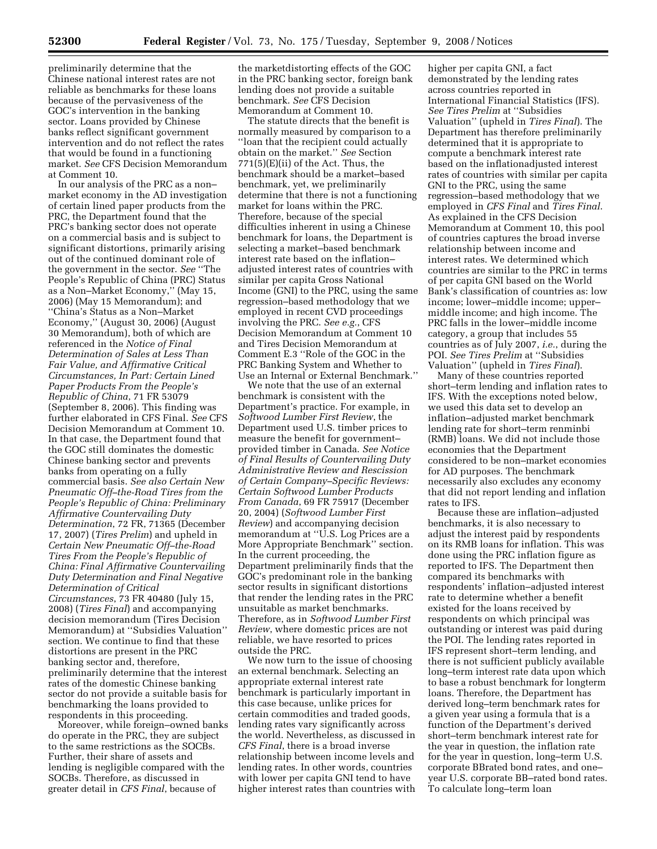preliminarily determine that the Chinese national interest rates are not reliable as benchmarks for these loans because of the pervasiveness of the GOC's intervention in the banking sector. Loans provided by Chinese banks reflect significant government intervention and do not reflect the rates that would be found in a functioning market. *See* CFS Decision Memorandum at Comment 10.

In our analysis of the PRC as a non– market economy in the AD investigation of certain lined paper products from the PRC, the Department found that the PRC's banking sector does not operate on a commercial basis and is subject to significant distortions, primarily arising out of the continued dominant role of the government in the sector. *See* ''The People's Republic of China (PRC) Status as a Non–Market Economy,'' (May 15, 2006) (May 15 Memorandum); and ''China's Status as a Non–Market Economy,'' (August 30, 2006) (August 30 Memorandum), both of which are referenced in the *Notice of Final Determination of Sales at Less Than Fair Value, and Affirmative Critical Circumstances, In Part: Certain Lined Paper Products From the People's Republic of China*, 71 FR 53079 (September 8, 2006). This finding was further elaborated in CFS Final. *See* CFS Decision Memorandum at Comment 10. In that case, the Department found that the GOC still dominates the domestic Chinese banking sector and prevents banks from operating on a fully commercial basis. *See also Certain New Pneumatic Off–the-Road Tires from the People's Republic of China: Preliminary Affirmative Countervailing Duty Determination*, 72 FR, 71365 (December 17, 2007) (*Tires Prelim*) and upheld in *Certain New Pneumatic Off–the-Road Tires From the People's Republic of China: Final Affirmative Countervailing Duty Determination and Final Negative Determination of Critical Circumstances*, 73 FR 40480 (July 15, 2008) (*Tires Final*) and accompanying decision memorandum (Tires Decision Memorandum) at ''Subsidies Valuation'' section. We continue to find that these distortions are present in the PRC banking sector and, therefore, preliminarily determine that the interest rates of the domestic Chinese banking sector do not provide a suitable basis for benchmarking the loans provided to respondents in this proceeding.

Moreover, while foreign–owned banks do operate in the PRC, they are subject to the same restrictions as the SOCBs. Further, their share of assets and lending is negligible compared with the SOCBs. Therefore, as discussed in greater detail in *CFS Final*, because of

the marketdistorting effects of the GOC in the PRC banking sector, foreign bank lending does not provide a suitable benchmark. *See* CFS Decision Memorandum at Comment 10.

The statute directs that the benefit is normally measured by comparison to a ''loan that the recipient could actually obtain on the market.'' *See* Section  $771(5)$ (E)(ii) of the Act. Thus, the benchmark should be a market–based benchmark, yet, we preliminarily determine that there is not a functioning market for loans within the PRC. Therefore, because of the special difficulties inherent in using a Chinese benchmark for loans, the Department is selecting a market–based benchmark interest rate based on the inflation– adjusted interest rates of countries with similar per capita Gross National Income (GNI) to the PRC, using the same regression–based methodology that we employed in recent CVD proceedings involving the PRC. *See e.g.*, CFS Decision Memorandum at Comment 10 and Tires Decision Memorandum at Comment E.3 ''Role of the GOC in the PRC Banking System and Whether to Use an Internal or External Benchmark.''

We note that the use of an external benchmark is consistent with the Department's practice. For example, in *Softwood Lumber First Review*, the Department used U.S. timber prices to measure the benefit for government– provided timber in Canada. *See Notice of Final Results of Countervailing Duty Administrative Review and Rescission of Certain Company–Specific Reviews: Certain Softwood Lumber Products From Canada*, 69 FR 75917 (December 20, 2004) (*Softwood Lumber First Review*) and accompanying decision memorandum at ''U.S. Log Prices are a More Appropriate Benchmark'' section. In the current proceeding, the Department preliminarily finds that the GOC's predominant role in the banking sector results in significant distortions that render the lending rates in the PRC unsuitable as market benchmarks. Therefore, as in *Softwood Lumber First Review*, where domestic prices are not reliable, we have resorted to prices outside the PRC.

We now turn to the issue of choosing an external benchmark. Selecting an appropriate external interest rate benchmark is particularly important in this case because, unlike prices for certain commodities and traded goods, lending rates vary significantly across the world. Nevertheless, as discussed in *CFS Final*, there is a broad inverse relationship between income levels and lending rates. In other words, countries with lower per capita GNI tend to have higher interest rates than countries with

higher per capita GNI, a fact demonstrated by the lending rates across countries reported in International Financial Statistics (IFS). *See Tires Prelim* at ''Subsidies Valuation'' (upheld in *Tires Final*). The Department has therefore preliminarily determined that it is appropriate to compute a benchmark interest rate based on the inflationadjusted interest rates of countries with similar per capita GNI to the PRC, using the same regression–based methodology that we employed in *CFS Final* and *Tires Final*. As explained in the CFS Decision Memorandum at Comment 10, this pool of countries captures the broad inverse relationship between income and interest rates. We determined which countries are similar to the PRC in terms of per capita GNI based on the World Bank's classification of countries as: low income; lower–middle income; upper– middle income; and high income. The PRC falls in the lower–middle income category, a group that includes 55 countries as of July 2007, *i.e.*, during the POI. *See Tires Prelim* at ''Subsidies Valuation'' (upheld in *Tires Final*).

Many of these countries reported short–term lending and inflation rates to IFS. With the exceptions noted below, we used this data set to develop an inflation–adjusted market benchmark lending rate for short–term renminbi (RMB) loans. We did not include those economies that the Department considered to be non–market economies for AD purposes. The benchmark necessarily also excludes any economy that did not report lending and inflation rates to IFS.

Because these are inflation–adjusted benchmarks, it is also necessary to adjust the interest paid by respondents on its RMB loans for inflation. This was done using the PRC inflation figure as reported to IFS. The Department then compared its benchmarks with respondents' inflation–adjusted interest rate to determine whether a benefit existed for the loans received by respondents on which principal was outstanding or interest was paid during the POI. The lending rates reported in IFS represent short–term lending, and there is not sufficient publicly available long–term interest rate data upon which to base a robust benchmark for longterm loans. Therefore, the Department has derived long–term benchmark rates for a given year using a formula that is a function of the Department's derived short–term benchmark interest rate for the year in question, the inflation rate for the year in question, long–term U.S. corporate BBrated bond rates, and one– year U.S. corporate BB–rated bond rates. To calculate long–term loan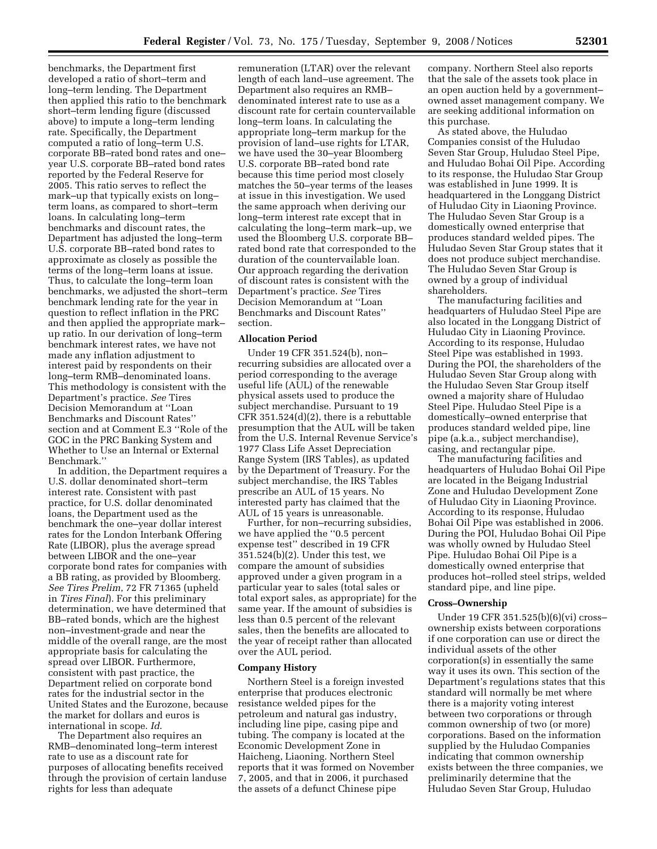benchmarks, the Department first developed a ratio of short–term and long–term lending. The Department then applied this ratio to the benchmark short–term lending figure (discussed above) to impute a long–term lending rate. Specifically, the Department computed a ratio of long–term U.S. corporate BB–rated bond rates and one– year U.S. corporate BB–rated bond rates reported by the Federal Reserve for 2005. This ratio serves to reflect the mark–up that typically exists on long– term loans, as compared to short–term loans. In calculating long–term benchmarks and discount rates, the Department has adjusted the long–term U.S. corporate BB–rated bond rates to approximate as closely as possible the terms of the long–term loans at issue. Thus, to calculate the long–term loan benchmarks, we adjusted the short–term benchmark lending rate for the year in question to reflect inflation in the PRC and then applied the appropriate mark– up ratio. In our derivation of long–term benchmark interest rates, we have not made any inflation adjustment to interest paid by respondents on their long–term RMB–denominated loans. This methodology is consistent with the Department's practice. *See* Tires Decision Memorandum at ''Loan Benchmarks and Discount Rates'' section and at Comment E.3 ''Role of the GOC in the PRC Banking System and Whether to Use an Internal or External Benchmark.''

In addition, the Department requires a U.S. dollar denominated short–term interest rate. Consistent with past practice, for U.S. dollar denominated loans, the Department used as the benchmark the one–year dollar interest rates for the London Interbank Offering Rate (LIBOR), plus the average spread between LIBOR and the one–year corporate bond rates for companies with a BB rating, as provided by Bloomberg. *See Tires Prelim*, 72 FR 71365 (upheld in *Tires Final*). For this preliminary determination, we have determined that BB–rated bonds, which are the highest non–investment-grade and near the middle of the overall range, are the most appropriate basis for calculating the spread over LIBOR. Furthermore, consistent with past practice, the Department relied on corporate bond rates for the industrial sector in the United States and the Eurozone, because the market for dollars and euros is international in scope. *Id*.

The Department also requires an RMB–denominated long–term interest rate to use as a discount rate for purposes of allocating benefits received through the provision of certain landuse rights for less than adequate

remuneration (LTAR) over the relevant length of each land–use agreement. The Department also requires an RMB– denominated interest rate to use as a discount rate for certain countervailable long–term loans. In calculating the appropriate long–term markup for the provision of land–use rights for LTAR, we have used the 30–year Bloomberg U.S. corporate BB–rated bond rate because this time period most closely matches the 50–year terms of the leases at issue in this investigation. We used the same approach when deriving our long–term interest rate except that in calculating the long–term mark–up, we used the Bloomberg U.S. corporate BB– rated bond rate that corresponded to the duration of the countervailable loan. Our approach regarding the derivation of discount rates is consistent with the Department's practice. *See* Tires Decision Memorandum at ''Loan Benchmarks and Discount Rates'' section.

## **Allocation Period**

Under 19 CFR 351.524(b), non– recurring subsidies are allocated over a period corresponding to the average useful life (AUL) of the renewable physical assets used to produce the subject merchandise. Pursuant to 19 CFR 351.524(d)(2), there is a rebuttable presumption that the AUL will be taken from the U.S. Internal Revenue Service's 1977 Class Life Asset Depreciation Range System (IRS Tables), as updated by the Department of Treasury. For the subject merchandise, the IRS Tables prescribe an AUL of 15 years. No interested party has claimed that the AUL of 15 years is unreasonable.

Further, for non–recurring subsidies, we have applied the ''0.5 percent expense test'' described in 19 CFR 351.524(b)(2). Under this test, we compare the amount of subsidies approved under a given program in a particular year to sales (total sales or total export sales, as appropriate) for the same year. If the amount of subsidies is less than 0.5 percent of the relevant sales, then the benefits are allocated to the year of receipt rather than allocated over the AUL period.

#### **Company History**

Northern Steel is a foreign invested enterprise that produces electronic resistance welded pipes for the petroleum and natural gas industry, including line pipe, casing pipe and tubing. The company is located at the Economic Development Zone in Haicheng, Liaoning. Northern Steel reports that it was formed on November 7, 2005, and that in 2006, it purchased the assets of a defunct Chinese pipe

company. Northern Steel also reports that the sale of the assets took place in an open auction held by a government– owned asset management company. We are seeking additional information on this purchase.

As stated above, the Huludao Companies consist of the Huludao Seven Star Group, Huludao Steel Pipe, and Huludao Bohai Oil Pipe. According to its response, the Huludao Star Group was established in June 1999. It is headquartered in the Longgang District of Huludao City in Liaoning Province. The Huludao Seven Star Group is a domestically owned enterprise that produces standard welded pipes. The Huludao Seven Star Group states that it does not produce subject merchandise. The Huludao Seven Star Group is owned by a group of individual shareholders.

The manufacturing facilities and headquarters of Huludao Steel Pipe are also located in the Longgang District of Huludao City in Liaoning Province. According to its response, Huludao Steel Pipe was established in 1993. During the POI, the shareholders of the Huludao Seven Star Group along with the Huludao Seven Star Group itself owned a majority share of Huludao Steel Pipe. Huludao Steel Pipe is a domestically–owned enterprise that produces standard welded pipe, line pipe (a.k.a., subject merchandise), casing, and rectangular pipe.

The manufacturing facilities and headquarters of Huludao Bohai Oil Pipe are located in the Beigang Industrial Zone and Huludao Development Zone of Huludao City in Liaoning Province. According to its response, Huludao Bohai Oil Pipe was established in 2006. During the POI, Huludao Bohai Oil Pipe was wholly owned by Huludao Steel Pipe. Huludao Bohai Oil Pipe is a domestically owned enterprise that produces hot–rolled steel strips, welded standard pipe, and line pipe.

### **Cross–Ownership**

Under 19 CFR 351.525(b)(6)(vi) cross– ownership exists between corporations if one corporation can use or direct the individual assets of the other corporation(s) in essentially the same way it uses its own. This section of the Department's regulations states that this standard will normally be met where there is a majority voting interest between two corporations or through common ownership of two (or more) corporations. Based on the information supplied by the Huludao Companies indicating that common ownership exists between the three companies, we preliminarily determine that the Huludao Seven Star Group, Huludao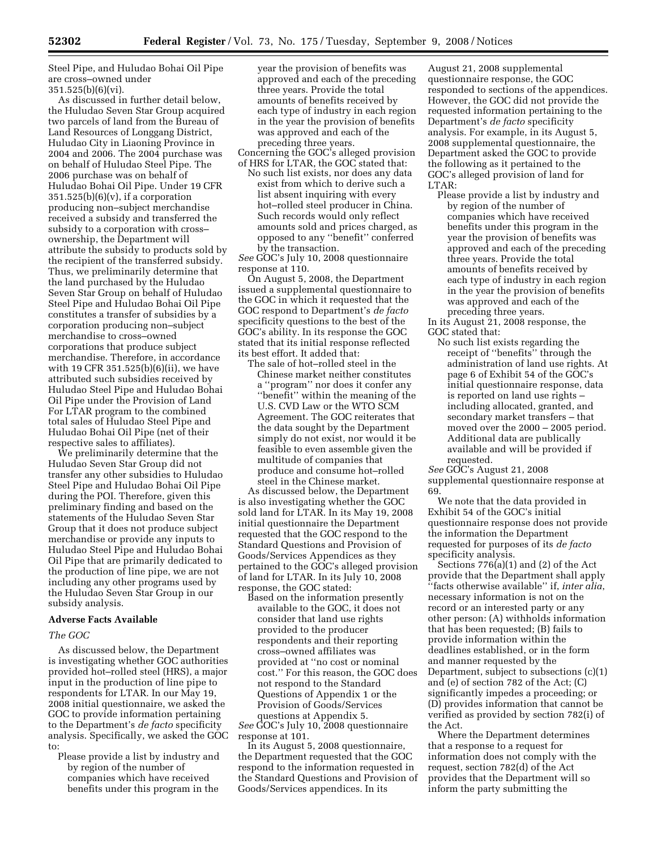Steel Pipe, and Huludao Bohai Oil Pipe are cross–owned under 351.525(b)(6)(vi).

As discussed in further detail below, the Huludao Seven Star Group acquired two parcels of land from the Bureau of Land Resources of Longgang District, Huludao City in Liaoning Province in 2004 and 2006. The 2004 purchase was on behalf of Huludao Steel Pipe. The 2006 purchase was on behalf of Huludao Bohai Oil Pipe. Under 19 CFR  $351.525(b)(6)(v)$ , if a corporation producing non–subject merchandise received a subsidy and transferred the subsidy to a corporation with cross– ownership, the Department will attribute the subsidy to products sold by the recipient of the transferred subsidy. Thus, we preliminarily determine that the land purchased by the Huludao Seven Star Group on behalf of Huludao Steel Pipe and Huludao Bohai Oil Pipe constitutes a transfer of subsidies by a corporation producing non–subject merchandise to cross–owned corporations that produce subject merchandise. Therefore, in accordance with 19 CFR 351.525(b)(6)(ii), we have attributed such subsidies received by Huludao Steel Pipe and Huludao Bohai Oil Pipe under the Provision of Land For LTAR program to the combined total sales of Huludao Steel Pipe and Huludao Bohai Oil Pipe (net of their respective sales to affiliates).

We preliminarily determine that the Huludao Seven Star Group did not transfer any other subsidies to Huludao Steel Pipe and Huludao Bohai Oil Pipe during the POI. Therefore, given this preliminary finding and based on the statements of the Huludao Seven Star Group that it does not produce subject merchandise or provide any inputs to Huludao Steel Pipe and Huludao Bohai Oil Pipe that are primarily dedicated to the production of line pipe, we are not including any other programs used by the Huludao Seven Star Group in our subsidy analysis.

### **Adverse Facts Available**

#### *The GOC*

As discussed below, the Department is investigating whether GOC authorities provided hot–rolled steel (HRS), a major input in the production of line pipe to respondents for LTAR. In our May 19, 2008 initial questionnaire, we asked the GOC to provide information pertaining to the Department's *de facto* specificity analysis. Specifically, we asked the GOC to:

Please provide a list by industry and by region of the number of companies which have received benefits under this program in the

year the provision of benefits was approved and each of the preceding three years. Provide the total amounts of benefits received by each type of industry in each region in the year the provision of benefits was approved and each of the preceding three years.

Concerning the GOC's alleged provision of HRS for LTAR, the GOC stated that:

No such list exists, nor does any data exist from which to derive such a list absent inquiring with every hot–rolled steel producer in China. Such records would only reflect amounts sold and prices charged, as opposed to any ''benefit'' conferred by the transaction.

*See* GOC's July 10, 2008 questionnaire response at 110.

On August 5, 2008, the Department issued a supplemental questionnaire to the GOC in which it requested that the GOC respond to Department's *de facto*  specificity questions to the best of the GOC's ability. In its response the GOC stated that its initial response reflected its best effort. It added that:

The sale of hot–rolled steel in the Chinese market neither constitutes a ''program'' nor does it confer any ''benefit'' within the meaning of the U.S. CVD Law or the WTO SCM Agreement. The GOC reiterates that the data sought by the Department simply do not exist, nor would it be feasible to even assemble given the multitude of companies that produce and consume hot–rolled steel in the Chinese market.

As discussed below, the Department is also investigating whether the GOC sold land for LTAR. In its May 19, 2008 initial questionnaire the Department requested that the GOC respond to the Standard Questions and Provision of Goods/Services Appendices as they pertained to the GOC's alleged provision of land for LTAR. In its July 10, 2008 response, the GOC stated:

Based on the information presently available to the GOC, it does not consider that land use rights provided to the producer respondents and their reporting cross–owned affiliates was provided at ''no cost or nominal cost.'' For this reason, the GOC does not respond to the Standard Questions of Appendix 1 or the Provision of Goods/Services questions at Appendix 5.

*See* GOC's July 10, 2008 questionnaire response at 101.

In its August 5, 2008 questionnaire, the Department requested that the GOC respond to the information requested in the Standard Questions and Provision of Goods/Services appendices. In its

August 21, 2008 supplemental questionnaire response, the GOC responded to sections of the appendices. However, the GOC did not provide the requested information pertaining to the Department's *de facto* specificity analysis. For example, in its August 5, 2008 supplemental questionnaire, the Department asked the GOC to provide the following as it pertained to the GOC's alleged provision of land for LTAR:

Please provide a list by industry and by region of the number of companies which have received benefits under this program in the year the provision of benefits was approved and each of the preceding three years. Provide the total amounts of benefits received by each type of industry in each region in the year the provision of benefits was approved and each of the preceding three years.

In its August 21, 2008 response, the GOC stated that:

No such list exists regarding the receipt of ''benefits'' through the administration of land use rights. At page 6 of Exhibit 54 of the GOC's initial questionnaire response, data is reported on land use rights – including allocated, granted, and secondary market transfers – that moved over the 2000 – 2005 period. Additional data are publically available and will be provided if requested.

*See* GOC's August 21, 2008 supplemental questionnaire response at 69.

We note that the data provided in Exhibit 54 of the GOC's initial questionnaire response does not provide the information the Department requested for purposes of its *de facto*  specificity analysis.

Sections 776(a)(1) and (2) of the Act provide that the Department shall apply ''facts otherwise available'' if, *inter alia*, necessary information is not on the record or an interested party or any other person: (A) withholds information that has been requested; (B) fails to provide information within the deadlines established, or in the form and manner requested by the Department, subject to subsections (c)(1) and (e) of section 782 of the Act; (C) significantly impedes a proceeding; or (D) provides information that cannot be verified as provided by section 782(i) of the Act.

Where the Department determines that a response to a request for information does not comply with the request, section 782(d) of the Act provides that the Department will so inform the party submitting the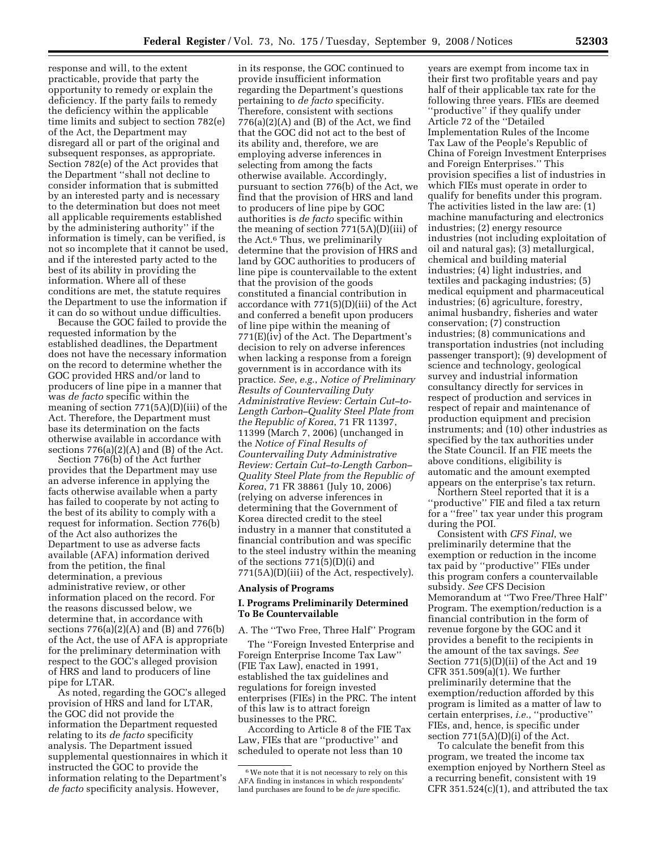response and will, to the extent practicable, provide that party the opportunity to remedy or explain the deficiency. If the party fails to remedy the deficiency within the applicable time limits and subject to section 782(e) of the Act, the Department may disregard all or part of the original and subsequent responses, as appropriate. Section 782(e) of the Act provides that the Department ''shall not decline to consider information that is submitted by an interested party and is necessary to the determination but does not meet all applicable requirements established by the administering authority'' if the information is timely, can be verified, is not so incomplete that it cannot be used, and if the interested party acted to the best of its ability in providing the information. Where all of these conditions are met, the statute requires the Department to use the information if it can do so without undue difficulties.

Because the GOC failed to provide the requested information by the established deadlines, the Department does not have the necessary information on the record to determine whether the GOC provided HRS and/or land to producers of line pipe in a manner that was *de facto* specific within the meaning of section 771(5A)(D)(iii) of the Act. Therefore, the Department must base its determination on the facts otherwise available in accordance with sections  $776(a)(2)(A)$  and  $(B)$  of the Act.

Section 776(b) of the Act further provides that the Department may use an adverse inference in applying the facts otherwise available when a party has failed to cooperate by not acting to the best of its ability to comply with a request for information. Section 776(b) of the Act also authorizes the Department to use as adverse facts available (AFA) information derived from the petition, the final determination, a previous administrative review, or other information placed on the record. For the reasons discussed below, we determine that, in accordance with sections 776(a)(2)(A) and (B) and 776(b) of the Act, the use of AFA is appropriate for the preliminary determination with respect to the GOC's alleged provision of HRS and land to producers of line pipe for LTAR.

As noted, regarding the GOC's alleged provision of HRS and land for LTAR, the GOC did not provide the information the Department requested relating to its *de facto* specificity analysis. The Department issued supplemental questionnaires in which it instructed the GOC to provide the information relating to the Department's *de facto* specificity analysis. However,

in its response, the GOC continued to provide insufficient information regarding the Department's questions pertaining to *de facto* specificity. Therefore, consistent with sections  $776(a)(2)(A)$  and  $(B)$  of the Act, we find that the GOC did not act to the best of its ability and, therefore, we are employing adverse inferences in selecting from among the facts otherwise available. Accordingly, pursuant to section 776(b) of the Act, we find that the provision of HRS and land to producers of line pipe by GOC authorities is *de facto* specific within the meaning of section 771(5A)(D)(iii) of the Act.6 Thus, we preliminarily determine that the provision of HRS and land by GOC authorities to producers of line pipe is countervailable to the extent that the provision of the goods constituted a financial contribution in accordance with 771(5)(D)(iii) of the Act and conferred a benefit upon producers of line pipe within the meaning of 771(E)(iv) of the Act. The Department's decision to rely on adverse inferences when lacking a response from a foreign government is in accordance with its practice. *See*, *e.g.*, *Notice of Preliminary Results of Countervailing Duty Administrative Review: Certain Cut–to-Length Carbon–Quality Steel Plate from the Republic of Korea*, 71 FR 11397, 11399 (March 7, 2006) (unchanged in the *Notice of Final Results of Countervailing Duty Administrative Review: Certain Cut–to-Length Carbon– Quality Steel Plate from the Republic of Korea*, 71 FR 38861 (July 10, 2006) (relying on adverse inferences in determining that the Government of Korea directed credit to the steel industry in a manner that constituted a financial contribution and was specific to the steel industry within the meaning of the sections 771(5)(D)(i) and 771(5A)(D)(iii) of the Act, respectively).

# **Analysis of Programs**

## **I. Programs Preliminarily Determined To Be Countervailable**

A. The ''Two Free, Three Half'' Program The ''Foreign Invested Enterprise and

Foreign Enterprise Income Tax Law'' (FIE Tax Law), enacted in 1991, established the tax guidelines and regulations for foreign invested enterprises (FIEs) in the PRC. The intent of this law is to attract foreign businesses to the PRC.

According to Article 8 of the FIE Tax Law, FIEs that are ''productive'' and scheduled to operate not less than 10

years are exempt from income tax in their first two profitable years and pay half of their applicable tax rate for the following three years. FIEs are deemed ''productive'' if they qualify under Article 72 of the ''Detailed Implementation Rules of the Income Tax Law of the People's Republic of China of Foreign Investment Enterprises and Foreign Enterprises.'' This provision specifies a list of industries in which FIEs must operate in order to qualify for benefits under this program. The activities listed in the law are: (1) machine manufacturing and electronics industries; (2) energy resource industries (not including exploitation of oil and natural gas); (3) metallurgical, chemical and building material industries; (4) light industries, and textiles and packaging industries; (5) medical equipment and pharmaceutical industries; (6) agriculture, forestry, animal husbandry, fisheries and water conservation; (7) construction industries; (8) communications and transportation industries (not including passenger transport); (9) development of science and technology, geological survey and industrial information consultancy directly for services in respect of production and services in respect of repair and maintenance of production equipment and precision instruments; and (10) other industries as specified by the tax authorities under the State Council. If an FIE meets the above conditions, eligibility is automatic and the amount exempted appears on the enterprise's tax return.

Northern Steel reported that it is a ''productive'' FIE and filed a tax return for a ''free'' tax year under this program during the POI.

Consistent with *CFS Final*, we preliminarily determine that the exemption or reduction in the income tax paid by ''productive'' FIEs under this program confers a countervailable subsidy. *See* CFS Decision Memorandum at ''Two Free/Three Half'' Program. The exemption/reduction is a financial contribution in the form of revenue forgone by the GOC and it provides a benefit to the recipients in the amount of the tax savings. *See*  Section 771(5)(D)(ii) of the Act and 19 CFR 351.509(a)(1). We further preliminarily determine that the exemption/reduction afforded by this program is limited as a matter of law to certain enterprises, *i.e.*, ''productive'' FIEs, and, hence, is specific under section  $771(5A)(D)(i)$  of the Act.

To calculate the benefit from this program, we treated the income tax exemption enjoyed by Northern Steel as a recurring benefit, consistent with 19 CFR  $351.524(c)(1)$ , and attributed the tax

<sup>6</sup>We note that it is not necessary to rely on this AFA finding in instances in which respondents' land purchases are found to be *de jure* specific.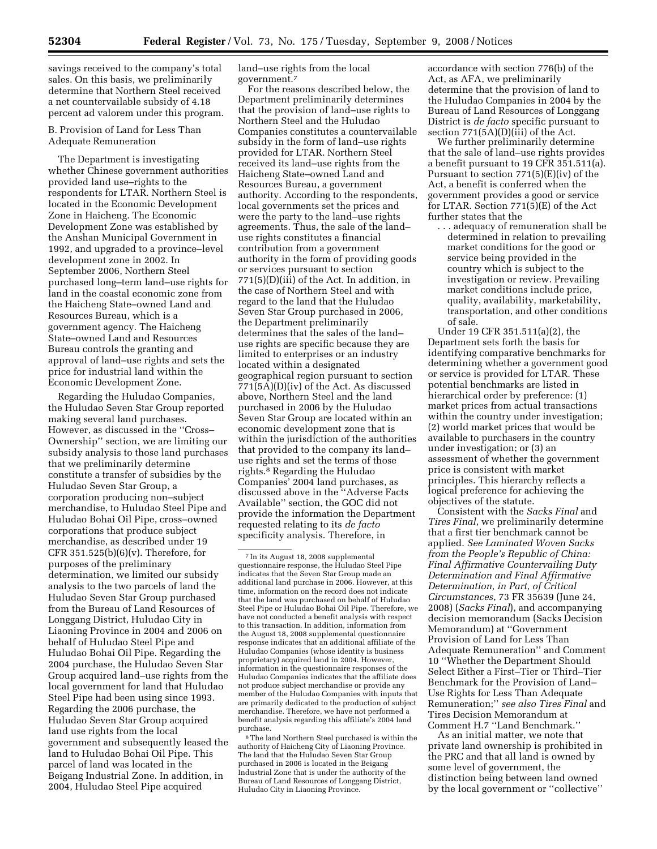savings received to the company's total sales. On this basis, we preliminarily determine that Northern Steel received a net countervailable subsidy of 4.18 percent ad valorem under this program.

B. Provision of Land for Less Than Adequate Remuneration

The Department is investigating whether Chinese government authorities provided land use–rights to the respondents for LTAR. Northern Steel is located in the Economic Development Zone in Haicheng. The Economic Development Zone was established by the Anshan Municipal Government in 1992, and upgraded to a province–level development zone in 2002. In September 2006, Northern Steel purchased long–term land–use rights for land in the coastal economic zone from the Haicheng State–owned Land and Resources Bureau, which is a government agency. The Haicheng State–owned Land and Resources Bureau controls the granting and approval of land–use rights and sets the price for industrial land within the Economic Development Zone.

Regarding the Huludao Companies, the Huludao Seven Star Group reported making several land purchases. However, as discussed in the ''Cross– Ownership'' section, we are limiting our subsidy analysis to those land purchases that we preliminarily determine constitute a transfer of subsidies by the Huludao Seven Star Group, a corporation producing non–subject merchandise, to Huludao Steel Pipe and Huludao Bohai Oil Pipe, cross–owned corporations that produce subject merchandise, as described under 19 CFR  $351.525(b)(6)(v)$ . Therefore, for purposes of the preliminary determination, we limited our subsidy analysis to the two parcels of land the Huludao Seven Star Group purchased from the Bureau of Land Resources of Longgang District, Huludao City in Liaoning Province in 2004 and 2006 on behalf of Huludao Steel Pipe and Huludao Bohai Oil Pipe. Regarding the 2004 purchase, the Huludao Seven Star Group acquired land–use rights from the local government for land that Huludao Steel Pipe had been using since 1993. Regarding the 2006 purchase, the Huludao Seven Star Group acquired land use rights from the local government and subsequently leased the land to Huludao Bohai Oil Pipe. This parcel of land was located in the Beigang Industrial Zone. In addition, in 2004, Huludao Steel Pipe acquired

land–use rights from the local government.7

For the reasons described below, the Department preliminarily determines that the provision of land–use rights to Northern Steel and the Huludao Companies constitutes a countervailable subsidy in the form of land–use rights provided for LTAR. Northern Steel received its land–use rights from the Haicheng State–owned Land and Resources Bureau, a government authority. According to the respondents, local governments set the prices and were the party to the land–use rights agreements. Thus, the sale of the land– use rights constitutes a financial contribution from a government authority in the form of providing goods or services pursuant to section 771(5)(D)(iii) of the Act. In addition, in the case of Northern Steel and with regard to the land that the Huludao Seven Star Group purchased in 2006, the Department preliminarily determines that the sales of the land– use rights are specific because they are limited to enterprises or an industry located within a designated geographical region pursuant to section 771(5A)(D)(iv) of the Act. As discussed above, Northern Steel and the land purchased in 2006 by the Huludao Seven Star Group are located within an economic development zone that is within the jurisdiction of the authorities that provided to the company its land– use rights and set the terms of those rights.8 Regarding the Huludao Companies' 2004 land purchases, as discussed above in the ''Adverse Facts Available'' section, the GOC did not provide the information the Department requested relating to its *de facto*  specificity analysis. Therefore, in

8The land Northern Steel purchased is within the authority of Haicheng City of Liaoning Province. The land that the Huludao Seven Star Group purchased in 2006 is located in the Beigang Industrial Zone that is under the authority of the Bureau of Land Resources of Longgang District, Huludao City in Liaoning Province.

accordance with section 776(b) of the Act, as AFA, we preliminarily determine that the provision of land to the Huludao Companies in 2004 by the Bureau of Land Resources of Longgang District is *de facto* specific pursuant to section 771(5A)(D)(iii) of the Act.

We further preliminarily determine that the sale of land–use rights provides a benefit pursuant to 19 CFR 351.511(a). Pursuant to section 771(5)(E)(iv) of the Act, a benefit is conferred when the government provides a good or service for LTAR. Section 771(5)(E) of the Act further states that the

. . . adequacy of remuneration shall be determined in relation to prevailing market conditions for the good or service being provided in the country which is subject to the investigation or review. Prevailing market conditions include price, quality, availability, marketability, transportation, and other conditions of sale.

Under 19 CFR 351.511(a)(2), the Department sets forth the basis for identifying comparative benchmarks for determining whether a government good or service is provided for LTAR. These potential benchmarks are listed in hierarchical order by preference: (1) market prices from actual transactions within the country under investigation; (2) world market prices that would be available to purchasers in the country under investigation; or (3) an assessment of whether the government price is consistent with market principles. This hierarchy reflects a logical preference for achieving the objectives of the statute.

Consistent with the *Sacks Final* and *Tires Final*, we preliminarily determine that a first tier benchmark cannot be applied. *See Laminated Woven Sacks from the People's Republic of China: Final Affirmative Countervailing Duty Determination and Final Affirmative Determination, in Part, of Critical Circumstances*, 73 FR 35639 (June 24, 2008) (*Sacks Final*), and accompanying decision memorandum (Sacks Decision Memorandum) at ''Government Provision of Land for Less Than Adequate Remuneration'' and Comment 10 ''Whether the Department Should Select Either a First–Tier or Third–Tier Benchmark for the Provision of Land– Use Rights for Less Than Adequate Remuneration;'' *see also Tires Final* and Tires Decision Memorandum at Comment H.7 ''Land Benchmark.''

As an initial matter, we note that private land ownership is prohibited in the PRC and that all land is owned by some level of government, the distinction being between land owned by the local government or ''collective''

<sup>7</sup> In its August 18, 2008 supplemental questionnaire response, the Huludao Steel Pipe indicates that the Seven Star Group made an additional land purchase in 2006. However, at this time, information on the record does not indicate that the land was purchased on behalf of Huludao Steel Pipe or Huludao Bohai Oil Pipe. Therefore, we have not conducted a benefit analysis with respect to this transaction. In addition, information from the August 18, 2008 supplemental questionnaire response indicates that an additional affiliate of the Huludao Companies (whose identity is business proprietary) acquired land in 2004. However, information in the questionnaire responses of the Huludao Companies indicates that the affiliate does not produce subject merchandise or provide any member of the Huludao Companies with inputs that are primarily dedicated to the production of subject merchandise. Therefore, we have not performed a benefit analysis regarding this affiliate's 2004 land purchase.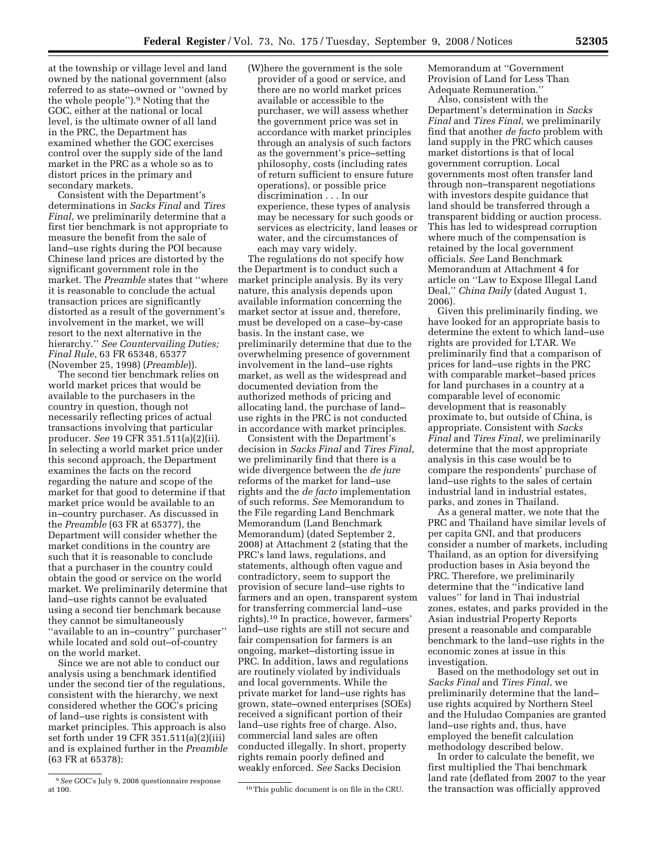at the township or village level and land owned by the national government (also referred to as state–owned or ''owned by the whole people'').9 Noting that the GOC, either at the national or local level, is the ultimate owner of all land in the PRC, the Department has examined whether the GOC exercises control over the supply side of the land market in the PRC as a whole so as to distort prices in the primary and secondary markets.

Consistent with the Department's determinations in *Sacks Final* and *Tires Final*, we preliminarily determine that a first tier benchmark is not appropriate to measure the benefit from the sale of land–use rights during the POI because Chinese land prices are distorted by the significant government role in the market. The *Preamble* states that ''where it is reasonable to conclude the actual transaction prices are significantly distorted as a result of the government's involvement in the market, we will resort to the next alternative in the hierarchy.'' *See Countervailing Duties; Final Rule*, 63 FR 65348, 65377 (November 25, 1998) (*Preamble*)).

The second tier benchmark relies on world market prices that would be available to the purchasers in the country in question, though not necessarily reflecting prices of actual transactions involving that particular producer. *See* 19 CFR 351.511(a)(2)(ii). In selecting a world market price under this second approach, the Department examines the facts on the record regarding the nature and scope of the market for that good to determine if that market price would be available to an in–country purchaser. As discussed in the *Preamble* (63 FR at 65377), the Department will consider whether the market conditions in the country are such that it is reasonable to conclude that a purchaser in the country could obtain the good or service on the world market. We preliminarily determine that land–use rights cannot be evaluated using a second tier benchmark because they cannot be simultaneously ''available to an in–country'' purchaser'' while located and sold out–of-country on the world market.

Since we are not able to conduct our analysis using a benchmark identified under the second tier of the regulations, consistent with the hierarchy, we next considered whether the GOC's pricing of land–use rights is consistent with market principles. This approach is also set forth under 19 CFR 351.511(a)(2)(iii) and is explained further in the *Preamble*  (63 FR at 65378):

The regulations do not specify how the Department is to conduct such a market principle analysis. By its very nature, this analysis depends upon available information concerning the market sector at issue and, therefore, must be developed on a case–by-case basis. In the instant case, we preliminarily determine that due to the overwhelming presence of government involvement in the land–use rights market, as well as the widespread and documented deviation from the authorized methods of pricing and allocating land, the purchase of land– use rights in the PRC is not conducted in accordance with market principles.

Consistent with the Department's decision in *Sacks Final* and *Tires Final*, we preliminarily find that there is a wide divergence between the *de jure*  reforms of the market for land–use rights and the *de facto* implementation of such reforms. *See* Memorandum to the File regarding Land Benchmark Memorandum (Land Benchmark Memorandum) (dated September 2, 2008) at Attachment 2 (stating that the PRC's land laws, regulations, and statements, although often vague and contradictory, seem to support the provision of secure land–use rights to farmers and an open, transparent system for transferring commercial land–use rights).10 In practice, however, farmers' land–use rights are still not secure and fair compensation for farmers is an ongoing, market–distorting issue in PRC. In addition, laws and regulations are routinely violated by individuals and local governments. While the private market for land–use rights has grown, state–owned enterprises (SOEs) received a significant portion of their land–use rights free of charge. Also, commercial land sales are often conducted illegally. In short, property rights remain poorly defined and weakly enforced. *See* Sacks Decision

<sup>10</sup> This public document is on file in the CRU.

Memorandum at ''Government Provision of Land for Less Than Adequate Remuneration.''

Also, consistent with the Department's determination in *Sacks Final* and *Tires Final*, we preliminarily find that another *de facto* problem with land supply in the PRC which causes market distortions is that of local government corruption. Local governments most often transfer land through non–transparent negotiations with investors despite guidance that land should be transferred through a transparent bidding or auction process. This has led to widespread corruption where much of the compensation is retained by the local government officials. *See* Land Benchmark Memorandum at Attachment 4 for article on ''Law to Expose Illegal Land Deal,'' *China Daily* (dated August 1, 2006).

Given this preliminarily finding, we have looked for an appropriate basis to determine the extent to which land–use rights are provided for LTAR. We preliminarily find that a comparison of prices for land–use rights in the PRC with comparable market–based prices for land purchases in a country at a comparable level of economic development that is reasonably proximate to, but outside of China, is appropriate. Consistent with *Sacks Final* and *Tires Final*, we preliminarily determine that the most appropriate analysis in this case would be to compare the respondents' purchase of land–use rights to the sales of certain industrial land in industrial estates, parks, and zones in Thailand.

As a general matter, we note that the PRC and Thailand have similar levels of per capita GNI, and that producers consider a number of markets, including Thailand, as an option for diversifying production bases in Asia beyond the PRC. Therefore, we preliminarily determine that the ''indicative land values'' for land in Thai industrial zones, estates, and parks provided in the Asian industrial Property Reports present a reasonable and comparable benchmark to the land–use rights in the economic zones at issue in this investigation.

Based on the methodology set out in *Sacks Final* and *Tires Final*, we preliminarily determine that the land– use rights acquired by Northern Steel and the Huludao Companies are granted land–use rights and, thus, have employed the benefit calculation methodology described below.

In order to calculate the benefit, we first multiplied the Thai benchmark land rate (deflated from 2007 to the year the transaction was officially approved

<sup>9</sup>*See* GOC's July 9, 2008 questionnaire response

<sup>(</sup>W)here the government is the sole provider of a good or service, and there are no world market prices available or accessible to the purchaser, we will assess whether the government price was set in accordance with market principles through an analysis of such factors as the government's price–setting philosophy, costs (including rates of return sufficient to ensure future operations), or possible price discrimination . . . In our experience, these types of analysis may be necessary for such goods or services as electricity, land leases or water, and the circumstances of each may vary widely.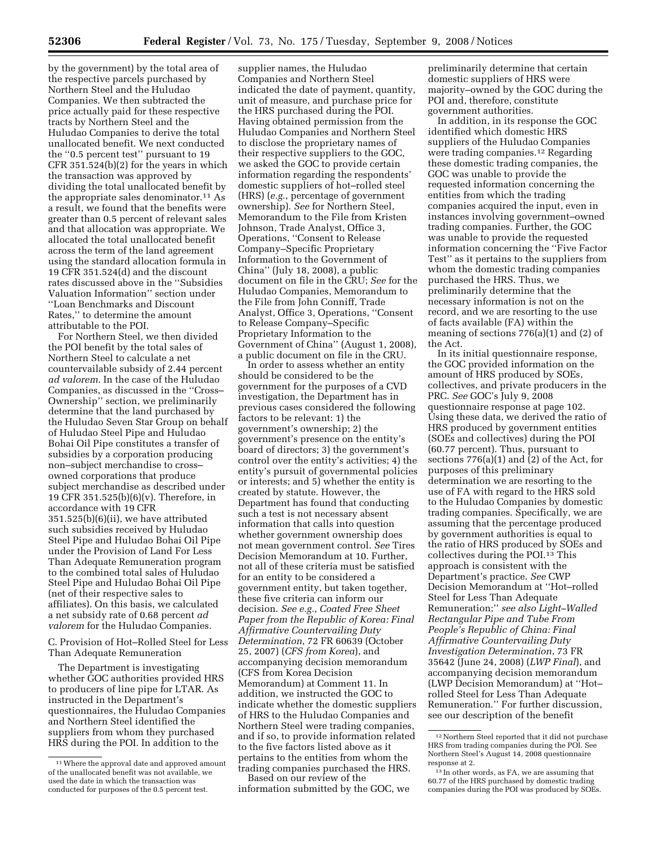by the government) by the total area of the respective parcels purchased by Northern Steel and the Huludao Companies. We then subtracted the price actually paid for these respective tracts by Northern Steel and the Huludao Companies to derive the total unallocated benefit. We next conducted the ''0.5 percent test'' pursuant to 19 CFR 351.524(b)(2) for the years in which the transaction was approved by dividing the total unallocated benefit by the appropriate sales denominator.<sup>11</sup> As a result, we found that the benefits were greater than 0.5 percent of relevant sales and that allocation was appropriate. We allocated the total unallocated benefit across the term of the land agreement using the standard allocation formula in 19 CFR 351.524(d) and the discount rates discussed above in the ''Subsidies Valuation Information'' section under ''Loan Benchmarks and Discount Rates,'' to determine the amount attributable to the POI.

For Northern Steel, we then divided the POI benefit by the total sales of Northern Steel to calculate a net countervailable subsidy of 2.44 percent *ad valorem*. In the case of the Huludao Companies, as discussed in the ''Cross– Ownership'' section, we preliminarily determine that the land purchased by the Huludao Seven Star Group on behalf of Huludao Steel Pipe and Huludao Bohai Oil Pipe constitutes a transfer of subsidies by a corporation producing non–subject merchandise to cross– owned corporations that produce subject merchandise as described under 19 CFR 351.525(b)(6)(v). Therefore, in accordance with 19 CFR 351.525(b)(6)(ii), we have attributed such subsidies received by Huludao Steel Pipe and Huludao Bohai Oil Pipe under the Provision of Land For Less Than Adequate Remuneration program to the combined total sales of Huludao Steel Pipe and Huludao Bohai Oil Pipe (net of their respective sales to affiliates). On this basis, we calculated a net subsidy rate of 0.68 percent *ad valorem* for the Huludao Companies.

C. Provision of Hot–Rolled Steel for Less Than Adequate Remuneration

The Department is investigating whether GOC authorities provided HRS to producers of line pipe for LTAR. As instructed in the Department's questionnaires, the Huludao Companies and Northern Steel identified the suppliers from whom they purchased HRS during the POI. In addition to the

supplier names, the Huludao Companies and Northern Steel indicated the date of payment, quantity, unit of measure, and purchase price for the HRS purchased during the POI. Having obtained permission from the Huludao Companies and Northern Steel to disclose the proprietary names of their respective suppliers to the GOC, we asked the GOC to provide certain information regarding the respondents' domestic suppliers of hot–rolled steel (HRS) (*e.g.*, percentage of government ownership). *See* for Northern Steel, Memorandum to the File from Kristen Johnson, Trade Analyst, Office 3, Operations, ''Consent to Release Company–Specific Proprietary Information to the Government of China'' (July 18, 2008), a public document on file in the CRU; *See* for the Huludao Companies, Memorandum to the File from John Conniff, Trade Analyst, Office 3, Operations, ''Consent to Release Company–Specific Proprietary Information to the Government of China'' (August 1, 2008), a public document on file in the CRU.

In order to assess whether an entity should be considered to be the government for the purposes of a CVD investigation, the Department has in previous cases considered the following factors to be relevant: 1) the government's ownership; 2) the government's presence on the entity's board of directors; 3) the government's control over the entity's activities; 4) the entity's pursuit of governmental policies or interests; and 5) whether the entity is created by statute. However, the Department has found that conducting such a test is not necessary absent information that calls into question whether government ownership does not mean government control. *See* Tires Decision Memorandum at 10. Further, not all of these criteria must be satisfied for an entity to be considered a government entity, but taken together, these five criteria can inform our decision. *See e.g.*, *Coated Free Sheet Paper from the Republic of Korea: Final Affirmative Countervailing Duty Determination*, 72 FR 60639 (October 25, 2007) (*CFS from Korea*), and accompanying decision memorandum (CFS from Korea Decision Memorandum) at Comment 11. In addition, we instructed the GOC to indicate whether the domestic suppliers of HRS to the Huludao Companies and Northern Steel were trading companies, and if so, to provide information related to the five factors listed above as it pertains to the entities from whom the trading companies purchased the HRS.

Based on our review of the information submitted by the GOC, we

preliminarily determine that certain domestic suppliers of HRS were majority–owned by the GOC during the POI and, therefore, constitute government authorities.

In addition, in its response the GOC identified which domestic HRS suppliers of the Huludao Companies were trading companies.12 Regarding these domestic trading companies, the GOC was unable to provide the requested information concerning the entities from which the trading companies acquired the input, even in instances involving government–owned trading companies. Further, the GOC was unable to provide the requested information concerning the ''Five Factor Test'' as it pertains to the suppliers from whom the domestic trading companies purchased the HRS. Thus, we preliminarily determine that the necessary information is not on the record, and we are resorting to the use of facts available (FA) within the meaning of sections 776(a)(1) and (2) of the Act.

In its initial questionnaire response, the GOC provided information on the amount of HRS produced by SOEs, collectives, and private producers in the PRC. *See* GOC's July 9, 2008 questionnaire response at page 102. Using these data, we derived the ratio of HRS produced by government entities (SOEs and collectives) during the POI (60.77 percent). Thus, pursuant to sections 776(a)(1) and (2) of the Act, for purposes of this preliminary determination we are resorting to the use of FA with regard to the HRS sold to the Huludao Companies by domestic trading companies. Specifically, we are assuming that the percentage produced by government authorities is equal to the ratio of HRS produced by SOEs and collectives during the POI.13 This approach is consistent with the Department's practice. *See* CWP Decision Memorandum at ''Hot–rolled Steel for Less Than Adequate Remuneration;'' *see also Light–Walled Rectangular Pipe and Tube From People's Republic of China: Final Affirmative Countervailing Duty Investigation Determination*, 73 FR 35642 (June 24, 2008) (*LWP Final*), and accompanying decision memorandum (LWP Decision Memorandum) at ''Hot– rolled Steel for Less Than Adequate Remuneration.'' For further discussion, see our description of the benefit

<sup>11</sup>Where the approval date and approved amount of the unallocated benefit was not available, we used the date in which the transaction was conducted for purposes of the 0.5 percent test.

<sup>12</sup>Northern Steel reported that it did not purchase HRS from trading companies during the POI. See Northern Steel's August 14, 2008 questionnaire response at 2.

<sup>&</sup>lt;sup>13</sup> In other words, as FA, we are assuming that 60.77 of the HRS purchased by domestic trading companies during the POI was produced by SOEs.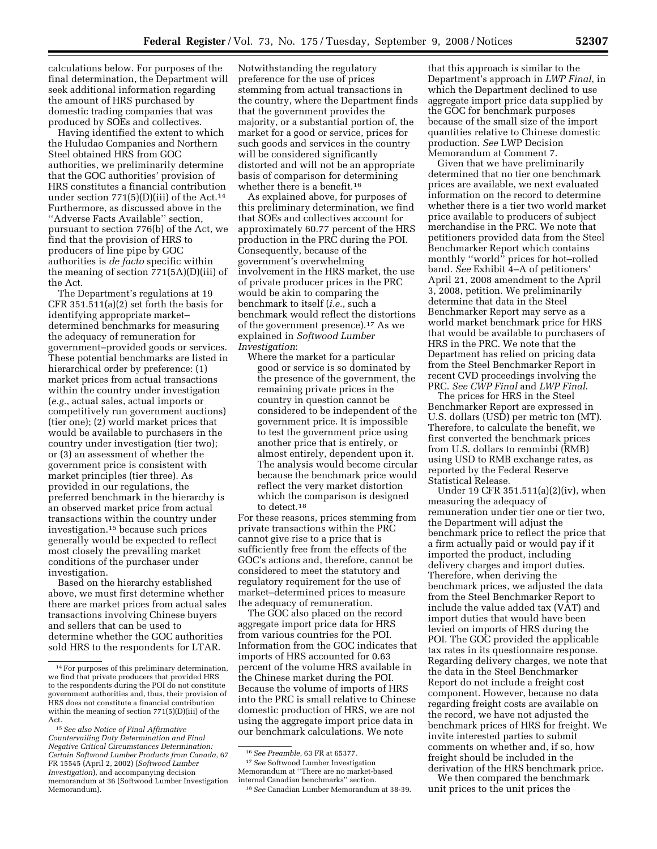calculations below. For purposes of the final determination, the Department will seek additional information regarding the amount of HRS purchased by domestic trading companies that was produced by SOEs and collectives.

Having identified the extent to which the Huludao Companies and Northern Steel obtained HRS from GOC authorities, we preliminarily determine that the GOC authorities' provision of HRS constitutes a financial contribution under section  $771(5)(D)(iii)$  of the Act.<sup>14</sup> Furthermore, as discussed above in the ''Adverse Facts Available'' section, pursuant to section 776(b) of the Act, we find that the provision of HRS to producers of line pipe by GOC authorities is *de facto* specific within the meaning of section 771(5A)(D)(iii) of the Act.

The Department's regulations at 19 CFR 351.511(a)(2) set forth the basis for identifying appropriate market– determined benchmarks for measuring the adequacy of remuneration for government–provided goods or services. These potential benchmarks are listed in hierarchical order by preference: (1) market prices from actual transactions within the country under investigation (*e.g.*, actual sales, actual imports or competitively run government auctions) (tier one); (2) world market prices that would be available to purchasers in the country under investigation (tier two); or (3) an assessment of whether the government price is consistent with market principles (tier three). As provided in our regulations, the preferred benchmark in the hierarchy is an observed market price from actual transactions within the country under investigation.15 because such prices generally would be expected to reflect most closely the prevailing market conditions of the purchaser under investigation.

Based on the hierarchy established above, we must first determine whether there are market prices from actual sales transactions involving Chinese buyers and sellers that can be used to determine whether the GOC authorities sold HRS to the respondents for LTAR.

Notwithstanding the regulatory preference for the use of prices stemming from actual transactions in the country, where the Department finds that the government provides the majority, or a substantial portion of, the market for a good or service, prices for such goods and services in the country will be considered significantly distorted and will not be an appropriate basis of comparison for determining whether there is a benefit.<sup>16</sup>

As explained above, for purposes of this preliminary determination, we find that SOEs and collectives account for approximately 60.77 percent of the HRS production in the PRC during the POI. Consequently, because of the government's overwhelming involvement in the HRS market, the use of private producer prices in the PRC would be akin to comparing the benchmark to itself (*i.e.*, such a benchmark would reflect the distortions of the government presence).17 As we explained in *Softwood Lumber Investigation*:

Where the market for a particular good or service is so dominated by the presence of the government, the remaining private prices in the country in question cannot be considered to be independent of the government price. It is impossible to test the government price using another price that is entirely, or almost entirely, dependent upon it. The analysis would become circular because the benchmark price would reflect the very market distortion which the comparison is designed to detect.18

For these reasons, prices stemming from private transactions within the PRC cannot give rise to a price that is sufficiently free from the effects of the GOC's actions and, therefore, cannot be considered to meet the statutory and regulatory requirement for the use of market–determined prices to measure the adequacy of remuneration.

The GOC also placed on the record aggregate import price data for HRS from various countries for the POI. Information from the GOC indicates that imports of HRS accounted for 0.63 percent of the volume HRS available in the Chinese market during the POI. Because the volume of imports of HRS into the PRC is small relative to Chinese domestic production of HRS, we are not using the aggregate import price data in our benchmark calculations. We note

17*See* Softwood Lumber Investigation Memorandum at ''There are no market-based internal Canadian benchmarks'' section.

that this approach is similar to the Department's approach in *LWP Final*, in which the Department declined to use aggregate import price data supplied by the GOC for benchmark purposes because of the small size of the import quantities relative to Chinese domestic production. *See* LWP Decision Memorandum at Comment 7.

Given that we have preliminarily determined that no tier one benchmark prices are available, we next evaluated information on the record to determine whether there is a tier two world market price available to producers of subject merchandise in the PRC. We note that petitioners provided data from the Steel Benchmarker Report which contains monthly ''world'' prices for hot–rolled band. *See* Exhibit 4–A of petitioners' April 21, 2008 amendment to the April 3, 2008, petition. We preliminarily determine that data in the Steel Benchmarker Report may serve as a world market benchmark price for HRS that would be available to purchasers of HRS in the PRC. We note that the Department has relied on pricing data from the Steel Benchmarker Report in recent CVD proceedings involving the PRC. *See CWP Final* and *LWP Final*.

The prices for HRS in the Steel Benchmarker Report are expressed in U.S. dollars (USD) per metric ton (MT). Therefore, to calculate the benefit, we first converted the benchmark prices from U.S. dollars to renminbi (RMB) using USD to RMB exchange rates, as reported by the Federal Reserve Statistical Release.

Under 19 CFR 351.511(a)(2)(iv), when measuring the adequacy of remuneration under tier one or tier two, the Department will adjust the benchmark price to reflect the price that a firm actually paid or would pay if it imported the product, including delivery charges and import duties. Therefore, when deriving the benchmark prices, we adjusted the data from the Steel Benchmarker Report to include the value added tax (VAT) and import duties that would have been levied on imports of HRS during the POI. The GOC provided the applicable tax rates in its questionnaire response. Regarding delivery charges, we note that the data in the Steel Benchmarker Report do not include a freight cost component. However, because no data regarding freight costs are available on the record, we have not adjusted the benchmark prices of HRS for freight. We invite interested parties to submit comments on whether and, if so, how freight should be included in the derivation of the HRS benchmark price.

We then compared the benchmark unit prices to the unit prices the

<sup>14</sup>For purposes of this preliminary determination, we find that private producers that provided HRS to the respondents during the POI do not constitute government authorities and, thus, their provision of HRS does not constitute a financial contribution within the meaning of section 771(5)(D)(iii) of the Act.

<sup>15</sup>*See also Notice of Final Affirmative Countervailing Duty Determination and Final Negative Critical Circumstances Determination: Certain Softwood Lumber Products from Canada*, 67 FR 15545 (April 2, 2002) (*Softwood Lumber Investigation*), and accompanying decision memorandum at 36 (Softwood Lumber Investigation Memorandum).

<sup>16</sup>*See Preamble*, 63 FR at 65377.

<sup>18</sup>*See* Canadian Lumber Memorandum at 38-39.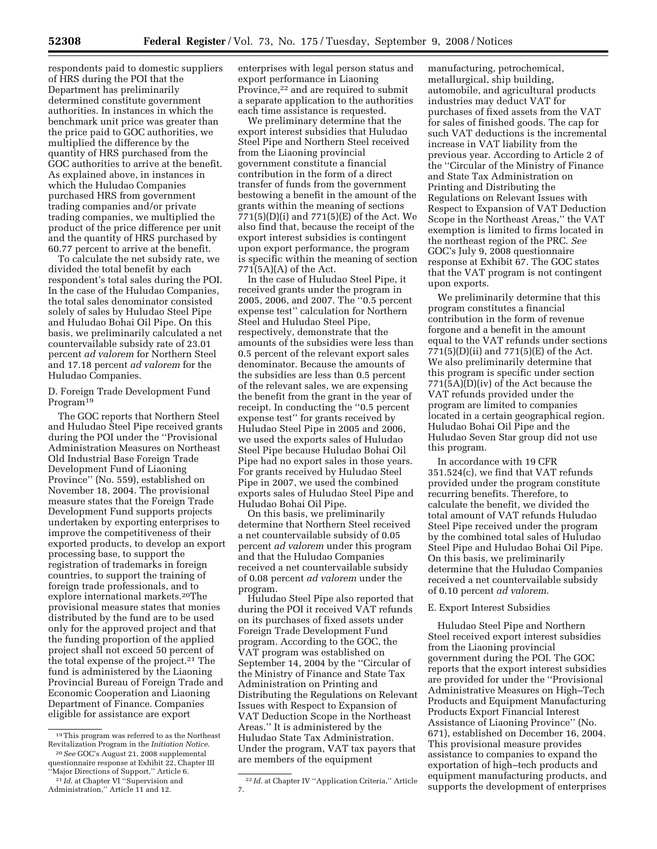respondents paid to domestic suppliers of HRS during the POI that the Department has preliminarily determined constitute government authorities. In instances in which the benchmark unit price was greater than the price paid to GOC authorities, we multiplied the difference by the quantity of HRS purchased from the GOC authorities to arrive at the benefit. As explained above, in instances in which the Huludao Companies purchased HRS from government trading companies and/or private trading companies, we multiplied the product of the price difference per unit and the quantity of HRS purchased by 60.77 percent to arrive at the benefit.

To calculate the net subsidy rate, we divided the total benefit by each respondent's total sales during the POI. In the case of the Huludao Companies, the total sales denominator consisted solely of sales by Huludao Steel Pipe and Huludao Bohai Oil Pipe. On this basis, we preliminarily calculated a net countervailable subsidy rate of 23.01 percent *ad valorem* for Northern Steel and 17.18 percent *ad valorem* for the Huludao Companies.

D. Foreign Trade Development Fund Program19

The GOC reports that Northern Steel and Huludao Steel Pipe received grants during the POI under the ''Provisional Administration Measures on Northeast Old Industrial Base Foreign Trade Development Fund of Liaoning Province'' (No. 559), established on November 18, 2004. The provisional measure states that the Foreign Trade Development Fund supports projects undertaken by exporting enterprises to improve the competitiveness of their exported products, to develop an export processing base, to support the registration of trademarks in foreign countries, to support the training of foreign trade professionals, and to explore international markets.20The provisional measure states that monies distributed by the fund are to be used only for the approved project and that the funding proportion of the applied project shall not exceed 50 percent of the total expense of the project.21 The fund is administered by the Liaoning Provincial Bureau of Foreign Trade and Economic Cooperation and Liaoning Department of Finance. Companies eligible for assistance are export

enterprises with legal person status and export performance in Liaoning Province,<sup>22</sup> and are required to submit a separate application to the authorities each time assistance is requested.

We preliminary determine that the export interest subsidies that Huludao Steel Pipe and Northern Steel received from the Liaoning provincial government constitute a financial contribution in the form of a direct transfer of funds from the government bestowing a benefit in the amount of the grants within the meaning of sections 771(5)(D)(i) and 771(5)(E) of the Act. We also find that, because the receipt of the export interest subsidies is contingent upon export performance, the program is specific within the meaning of section 771(5A)(A) of the Act.

In the case of Huludao Steel Pipe, it received grants under the program in 2005, 2006, and 2007. The ''0.5 percent expense test'' calculation for Northern Steel and Huludao Steel Pipe, respectively, demonstrate that the amounts of the subsidies were less than 0.5 percent of the relevant export sales denominator. Because the amounts of the subsidies are less than 0.5 percent of the relevant sales, we are expensing the benefit from the grant in the year of receipt. In conducting the ''0.5 percent expense test'' for grants received by Huludao Steel Pipe in 2005 and 2006, we used the exports sales of Huludao Steel Pipe because Huludao Bohai Oil Pipe had no export sales in those years. For grants received by Huludao Steel Pipe in 2007, we used the combined exports sales of Huludao Steel Pipe and Huludao Bohai Oil Pipe.

On this basis, we preliminarily determine that Northern Steel received a net countervailable subsidy of 0.05 percent *ad valorem* under this program and that the Huludao Companies received a net countervailable subsidy of 0.08 percent *ad valorem* under the program.

Huludao Steel Pipe also reported that during the POI it received VAT refunds on its purchases of fixed assets under Foreign Trade Development Fund program. According to the GOC, the VAT program was established on September 14, 2004 by the ''Circular of the Ministry of Finance and State Tax Administration on Printing and Distributing the Regulations on Relevant Issues with Respect to Expansion of VAT Deduction Scope in the Northeast Areas.'' It is administered by the Huludao State Tax Administration. Under the program, VAT tax payers that are members of the equipment

manufacturing, petrochemical, metallurgical, ship building, automobile, and agricultural products industries may deduct VAT for purchases of fixed assets from the VAT for sales of finished goods. The cap for such VAT deductions is the incremental increase in VAT liability from the previous year. According to Article 2 of the ''Circular of the Ministry of Finance and State Tax Administration on Printing and Distributing the Regulations on Relevant Issues with Respect to Expansion of VAT Deduction Scope in the Northeast Areas,'' the VAT exemption is limited to firms located in the northeast region of the PRC. *See*  GOC's July 9, 2008 questionnaire response at Exhibit 67. The GOC states that the VAT program is not contingent upon exports.

We preliminarily determine that this program constitutes a financial contribution in the form of revenue forgone and a benefit in the amount equal to the VAT refunds under sections 771(5)(D)(ii) and 771(5)(E) of the Act. We also preliminarily determine that this program is specific under section 771(5A)(D)(iv) of the Act because the VAT refunds provided under the program are limited to companies located in a certain geographical region. Huludao Bohai Oil Pipe and the Huludao Seven Star group did not use this program.

In accordance with 19 CFR 351.524(c), we find that VAT refunds provided under the program constitute recurring benefits. Therefore, to calculate the benefit, we divided the total amount of VAT refunds Huludao Steel Pipe received under the program by the combined total sales of Huludao Steel Pipe and Huludao Bohai Oil Pipe. On this basis, we preliminarily determine that the Huludao Companies received a net countervailable subsidy of 0.10 percent *ad valorem*.

## E. Export Interest Subsidies

Huludao Steel Pipe and Northern Steel received export interest subsidies from the Liaoning provincial government during the POI. The GOC reports that the export interest subsidies are provided for under the ''Provisional Administrative Measures on High–Tech Products and Equipment Manufacturing Products Export Financial Interest Assistance of Liaoning Province'' (No. 671), established on December 16, 2004. This provisional measure provides assistance to companies to expand the exportation of high–tech products and equipment manufacturing products, and supports the development of enterprises

<sup>19</sup>This program was referred to as the Northeast Revitalization Program in the *Initiation Notice*. 20*See* GOC's August 21, 2008 supplemental

questionnaire response at Exhibit 22, Chapter III ''Major Directions of Support,'' Article 6. 21 *Id*. at Chapter VI ''Supervision and

Administration," Article 11 and 12.

<sup>22</sup> *Id*. at Chapter IV ''Application Criteria,'' Article 7.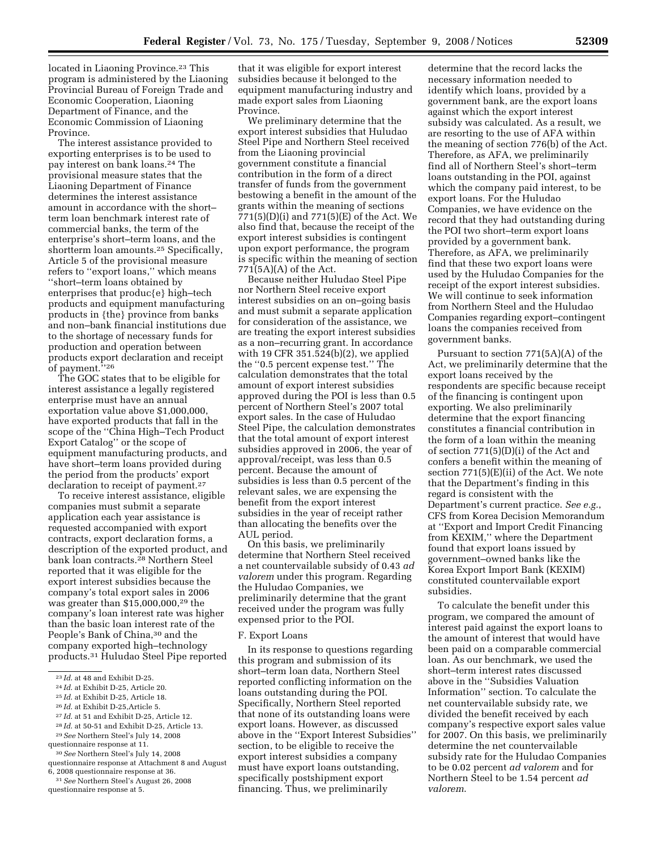located in Liaoning Province.<sup>23</sup> This program is administered by the Liaoning Provincial Bureau of Foreign Trade and Economic Cooperation, Liaoning Department of Finance, and the Economic Commission of Liaoning Province.

The interest assistance provided to exporting enterprises is to be used to pay interest on bank loans.24 The provisional measure states that the Liaoning Department of Finance determines the interest assistance amount in accordance with the short– term loan benchmark interest rate of commercial banks, the term of the enterprise's short–term loans, and the shortterm loan amounts.25 Specifically, Article 5 of the provisional measure refers to ''export loans,'' which means ''short–term loans obtained by enterprises that produc{e} high–tech products and equipment manufacturing products in {the} province from banks and non–bank financial institutions due to the shortage of necessary funds for production and operation between products export declaration and receipt of payment.''26

The GOC states that to be eligible for interest assistance a legally registered enterprise must have an annual exportation value above \$1,000,000, have exported products that fall in the scope of the ''China High–Tech Product Export Catalog'' or the scope of equipment manufacturing products, and have short–term loans provided during the period from the products' export declaration to receipt of payment.27

To receive interest assistance, eligible companies must submit a separate application each year assistance is requested accompanied with export contracts, export declaration forms, a description of the exported product, and bank loan contracts.28 Northern Steel reported that it was eligible for the export interest subsidies because the company's total export sales in 2006 was greater than \$15,000,000,29 the company's loan interest rate was higher than the basic loan interest rate of the People's Bank of China,30 and the company exported high–technology products.31 Huludao Steel Pipe reported

- 27 *Id*. at 51 and Exhibit D-25, Article 12.
- 28 *Id*. at 50-51 and Exhibit D-25, Article 13.
- 29*See* Northern Steel's July 14, 2008
- questionnaire response at 11.
- 30*See* Northern Steel's July 14, 2008

questionnaire response at Attachment 8 and August 6, 2008 questionnaire response at 36.

31*See* Northern Steel's August 26, 2008 questionnaire response at 5.

that it was eligible for export interest subsidies because it belonged to the equipment manufacturing industry and made export sales from Liaoning Province.

We preliminary determine that the export interest subsidies that Huludao Steel Pipe and Northern Steel received from the Liaoning provincial government constitute a financial contribution in the form of a direct transfer of funds from the government bestowing a benefit in the amount of the grants within the meaning of sections 771(5)(D)(i) and 771(5)(E) of the Act. We also find that, because the receipt of the export interest subsidies is contingent upon export performance, the program is specific within the meaning of section 771(5A)(A) of the Act.

Because neither Huludao Steel Pipe nor Northern Steel receive export interest subsidies on an on–going basis and must submit a separate application for consideration of the assistance, we are treating the export interest subsidies as a non–recurring grant. In accordance with 19 CFR 351.524(b)(2), we applied the ''0.5 percent expense test.'' The calculation demonstrates that the total amount of export interest subsidies approved during the POI is less than 0.5 percent of Northern Steel's 2007 total export sales. In the case of Huludao Steel Pipe, the calculation demonstrates that the total amount of export interest subsidies approved in 2006, the year of approval/receipt, was less than 0.5 percent. Because the amount of subsidies is less than 0.5 percent of the relevant sales, we are expensing the benefit from the export interest subsidies in the year of receipt rather than allocating the benefits over the AUL period.

On this basis, we preliminarily determine that Northern Steel received a net countervailable subsidy of 0.43 *ad valorem* under this program. Regarding the Huludao Companies, we preliminarily determine that the grant received under the program was fully expensed prior to the POI.

#### F. Export Loans

In its response to questions regarding this program and submission of its short–term loan data, Northern Steel reported conflicting information on the loans outstanding during the POI. Specifically, Northern Steel reported that none of its outstanding loans were export loans. However, as discussed above in the ''Export Interest Subsidies'' section, to be eligible to receive the export interest subsidies a company must have export loans outstanding, specifically postshipment export financing. Thus, we preliminarily

determine that the record lacks the necessary information needed to identify which loans, provided by a government bank, are the export loans against which the export interest subsidy was calculated. As a result, we are resorting to the use of AFA within the meaning of section 776(b) of the Act. Therefore, as AFA, we preliminarily find all of Northern Steel's short–term loans outstanding in the POI, against which the company paid interest, to be export loans. For the Huludao Companies, we have evidence on the record that they had outstanding during the POI two short–term export loans provided by a government bank. Therefore, as AFA, we preliminarily find that these two export loans were used by the Huludao Companies for the receipt of the export interest subsidies. We will continue to seek information from Northern Steel and the Huludao Companies regarding export–contingent loans the companies received from government banks.

Pursuant to section 771(5A)(A) of the Act, we preliminarily determine that the export loans received by the respondents are specific because receipt of the financing is contingent upon exporting. We also preliminarily determine that the export financing constitutes a financial contribution in the form of a loan within the meaning of section 771(5)(D)(i) of the Act and confers a benefit within the meaning of section 771(5)(E)(ii) of the Act. We note that the Department's finding in this regard is consistent with the Department's current practice. *See e.g.*, CFS from Korea Decision Memorandum at ''Export and Import Credit Financing from KEXIM,'' where the Department found that export loans issued by government–owned banks like the Korea Export Import Bank (KEXIM) constituted countervailable export subsidies.

To calculate the benefit under this program, we compared the amount of interest paid against the export loans to the amount of interest that would have been paid on a comparable commercial loan. As our benchmark, we used the short–term interest rates discussed above in the ''Subsidies Valuation Information'' section. To calculate the net countervailable subsidy rate, we divided the benefit received by each company's respective export sales value for 2007. On this basis, we preliminarily determine the net countervailable subsidy rate for the Huludao Companies to be 0.02 percent *ad valorem* and for Northern Steel to be 1.54 percent *ad valorem*.

<sup>23</sup> *Id*. at 48 and Exhibit D-25.

<sup>24</sup> *Id*. at Exhibit D-25, Article 20.

<sup>25</sup> *Id*. at Exhibit D-25, Article 18.

<sup>26</sup> *Id*. at Exhibit D-25,Article 5.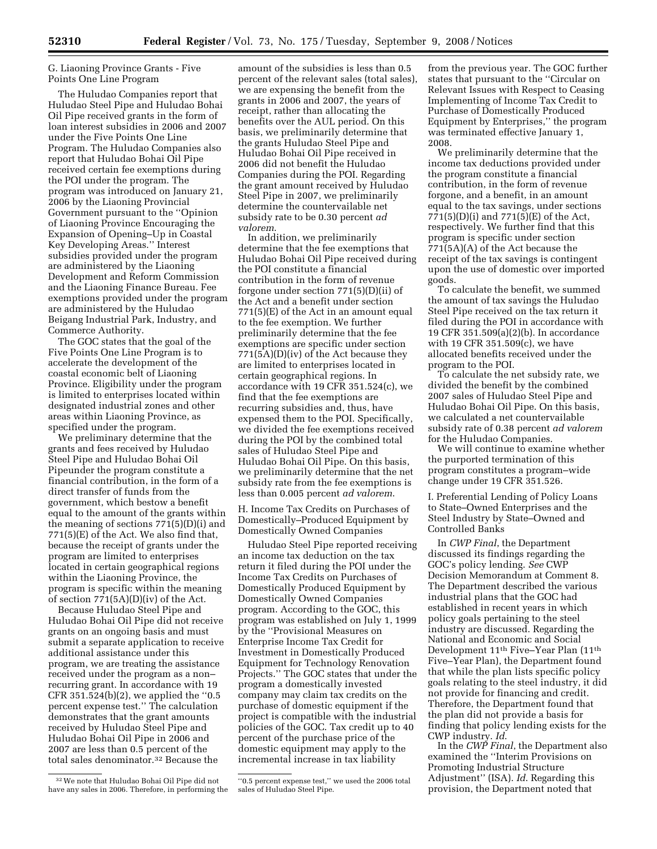# G. Liaoning Province Grants - Five Points One Line Program

The Huludao Companies report that Huludao Steel Pipe and Huludao Bohai Oil Pipe received grants in the form of loan interest subsidies in 2006 and 2007 under the Five Points One Line Program. The Huludao Companies also report that Huludao Bohai Oil Pipe received certain fee exemptions during the POI under the program. The program was introduced on January 21, 2006 by the Liaoning Provincial Government pursuant to the ''Opinion of Liaoning Province Encouraging the Expansion of Opening–Up in Coastal Key Developing Areas.'' Interest subsidies provided under the program are administered by the Liaoning Development and Reform Commission and the Liaoning Finance Bureau. Fee exemptions provided under the program are administered by the Huludao Beigang Industrial Park, Industry, and Commerce Authority.

The GOC states that the goal of the Five Points One Line Program is to accelerate the development of the coastal economic belt of Liaoning Province. Eligibility under the program is limited to enterprises located within designated industrial zones and other areas within Liaoning Province, as specified under the program.

We preliminary determine that the grants and fees received by Huludao Steel Pipe and Huludao Bohai Oil Pipeunder the program constitute a financial contribution, in the form of a direct transfer of funds from the government, which bestow a benefit equal to the amount of the grants within the meaning of sections  $771(5)(D)(i)$  and  $771(5)$ (E) of the Act. We also find that, because the receipt of grants under the program are limited to enterprises located in certain geographical regions within the Liaoning Province, the program is specific within the meaning of section 771(5A)(D)(iv) of the Act.

Because Huludao Steel Pipe and Huludao Bohai Oil Pipe did not receive grants on an ongoing basis and must submit a separate application to receive additional assistance under this program, we are treating the assistance received under the program as a non– recurring grant. In accordance with 19 CFR 351.524(b)(2), we applied the ''0.5 percent expense test.'' The calculation demonstrates that the grant amounts received by Huludao Steel Pipe and Huludao Bohai Oil Pipe in 2006 and 2007 are less than 0.5 percent of the total sales denominator.32 Because the

amount of the subsidies is less than 0.5 percent of the relevant sales (total sales), we are expensing the benefit from the grants in 2006 and 2007, the years of receipt, rather than allocating the benefits over the AUL period. On this basis, we preliminarily determine that the grants Huludao Steel Pipe and Huludao Bohai Oil Pipe received in 2006 did not benefit the Huludao Companies during the POI. Regarding the grant amount received by Huludao Steel Pipe in 2007, we preliminarily determine the countervailable net subsidy rate to be 0.30 percent *ad valorem*.

In addition, we preliminarily determine that the fee exemptions that Huludao Bohai Oil Pipe received during the POI constitute a financial contribution in the form of revenue forgone under section 771(5)(D)(ii) of the Act and a benefit under section 771(5)(E) of the Act in an amount equal to the fee exemption. We further preliminarily determine that the fee exemptions are specific under section 771(5A)(D)(iv) of the Act because they are limited to enterprises located in certain geographical regions. In accordance with 19 CFR 351.524(c), we find that the fee exemptions are recurring subsidies and, thus, have expensed them to the POI. Specifically, we divided the fee exemptions received during the POI by the combined total sales of Huludao Steel Pipe and Huludao Bohai Oil Pipe. On this basis, we preliminarily determine that the net subsidy rate from the fee exemptions is less than 0.005 percent *ad valorem*.

H. Income Tax Credits on Purchases of Domestically–Produced Equipment by Domestically Owned Companies

Huludao Steel Pipe reported receiving an income tax deduction on the tax return it filed during the POI under the Income Tax Credits on Purchases of Domestically Produced Equipment by Domestically Owned Companies program. According to the GOC, this program was established on July 1, 1999 by the ''Provisional Measures on Enterprise Income Tax Credit for Investment in Domestically Produced Equipment for Technology Renovation Projects.'' The GOC states that under the program a domestically invested company may claim tax credits on the purchase of domestic equipment if the project is compatible with the industrial policies of the GOC. Tax credit up to 40 percent of the purchase price of the domestic equipment may apply to the incremental increase in tax liability

"0.5 percent expense test," we used the 2006 total sales of Huludao Steel Pipe.

from the previous year. The GOC further states that pursuant to the ''Circular on Relevant Issues with Respect to Ceasing Implementing of Income Tax Credit to Purchase of Domestically Produced Equipment by Enterprises,'' the program was terminated effective January 1, 2008.

We preliminarily determine that the income tax deductions provided under the program constitute a financial contribution, in the form of revenue forgone, and a benefit, in an amount equal to the tax savings, under sections 771(5)(D)(i) and 771(5)(E) of the Act, respectively. We further find that this program is specific under section 771(5A)(A) of the Act because the receipt of the tax savings is contingent upon the use of domestic over imported goods.

To calculate the benefit, we summed the amount of tax savings the Huludao Steel Pipe received on the tax return it filed during the POI in accordance with 19 CFR 351.509(a)(2)(b). In accordance with 19 CFR 351.509(c), we have allocated benefits received under the program to the POI.

To calculate the net subsidy rate, we divided the benefit by the combined 2007 sales of Huludao Steel Pipe and Huludao Bohai Oil Pipe. On this basis, we calculated a net countervailable subsidy rate of 0.38 percent *ad valorem*  for the Huludao Companies.

We will continue to examine whether the purported termination of this program constitutes a program–wide change under 19 CFR 351.526.

I. Preferential Lending of Policy Loans to State–Owned Enterprises and the Steel Industry by State–Owned and Controlled Banks

In *CWP Final*, the Department discussed its findings regarding the GOC's policy lending. *See* CWP Decision Memorandum at Comment 8. The Department described the various industrial plans that the GOC had established in recent years in which policy goals pertaining to the steel industry are discussed. Regarding the National and Economic and Social Development 11th Five–Year Plan (11th Five–Year Plan), the Department found that while the plan lists specific policy goals relating to the steel industry, it did not provide for financing and credit. Therefore, the Department found that the plan did not provide a basis for finding that policy lending exists for the CWP industry. *Id*.

In the *CWP Final*, the Department also examined the ''Interim Provisions on Promoting Industrial Structure Adjustment'' (ISA). *Id*. Regarding this provision, the Department noted that

<sup>32</sup>We note that Huludao Bohai Oil Pipe did not have any sales in 2006. Therefore, in performing the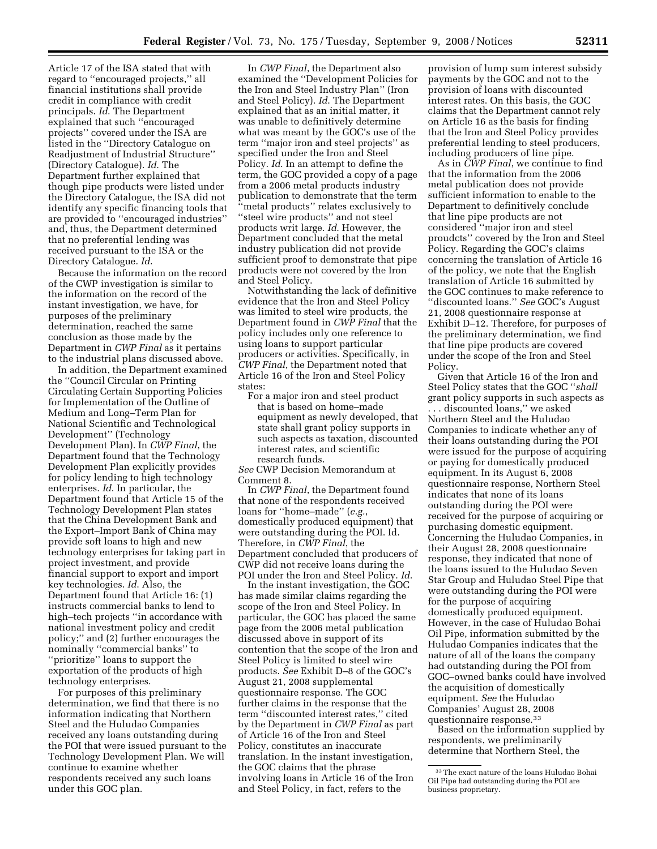Article 17 of the ISA stated that with regard to ''encouraged projects,'' all financial institutions shall provide credit in compliance with credit principals. *Id*. The Department explained that such ''encouraged projects'' covered under the ISA are listed in the ''Directory Catalogue on Readjustment of Industrial Structure'' (Directory Catalogue). *Id*. The Department further explained that though pipe products were listed under the Directory Catalogue, the ISA did not identify any specific financing tools that are provided to ''encouraged industries'' and, thus, the Department determined that no preferential lending was received pursuant to the ISA or the Directory Catalogue. *Id*.

Because the information on the record of the CWP investigation is similar to the information on the record of the instant investigation, we have, for purposes of the preliminary determination, reached the same conclusion as those made by the Department in *CWP Final* as it pertains to the industrial plans discussed above.

In addition, the Department examined the ''Council Circular on Printing Circulating Certain Supporting Policies for Implementation of the Outline of Medium and Long–Term Plan for National Scientific and Technological Development'' (Technology Development Plan). In *CWP Final*, the Department found that the Technology Development Plan explicitly provides for policy lending to high technology enterprises. *Id*. In particular, the Department found that Article 15 of the Technology Development Plan states that the China Development Bank and the Export–Import Bank of China may provide soft loans to high and new technology enterprises for taking part in project investment, and provide financial support to export and import key technologies. *Id*. Also, the Department found that Article 16: (1) instructs commercial banks to lend to high–tech projects ''in accordance with national investment policy and credit policy;'' and (2) further encourages the nominally ''commercial banks'' to ''prioritize'' loans to support the exportation of the products of high technology enterprises.

For purposes of this preliminary determination, we find that there is no information indicating that Northern Steel and the Huludao Companies received any loans outstanding during the POI that were issued pursuant to the Technology Development Plan. We will continue to examine whether respondents received any such loans under this GOC plan.

In *CWP Final*, the Department also examined the ''Development Policies for the Iron and Steel Industry Plan'' (Iron and Steel Policy). *Id*. The Department explained that as an initial matter, it was unable to definitively determine what was meant by the GOC's use of the term ''major iron and steel projects'' as specified under the Iron and Steel Policy. *Id*. In an attempt to define the term, the GOC provided a copy of a page from a 2006 metal products industry publication to demonstrate that the term ''metal products'' relates exclusively to "steel wire products" and not steel products writ large. *Id*. However, the Department concluded that the metal industry publication did not provide sufficient proof to demonstrate that pipe products were not covered by the Iron and Steel Policy.

Notwithstanding the lack of definitive evidence that the Iron and Steel Policy was limited to steel wire products, the Department found in *CWP Final* that the policy includes only one reference to using loans to support particular producers or activities. Specifically, in *CWP Final*, the Department noted that Article 16 of the Iron and Steel Policy states:

For a major iron and steel product that is based on home–made equipment as newly developed, that state shall grant policy supports in such aspects as taxation, discounted interest rates, and scientific research funds.

*See* CWP Decision Memorandum at Comment 8.

In *CWP Final*, the Department found that none of the respondents received loans for ''home–made'' (*e.g.*, domestically produced equipment) that were outstanding during the POI. Id. Therefore, in *CWP Final*, the Department concluded that producers of CWP did not receive loans during the POI under the Iron and Steel Policy. *Id*.

In the instant investigation, the GOC has made similar claims regarding the scope of the Iron and Steel Policy. In particular, the GOC has placed the same page from the 2006 metal publication discussed above in support of its contention that the scope of the Iron and Steel Policy is limited to steel wire products. *See* Exhibit D–8 of the GOC's August 21, 2008 supplemental questionnaire response. The GOC further claims in the response that the term ''discounted interest rates,'' cited by the Department in *CWP Final* as part of Article 16 of the Iron and Steel Policy, constitutes an inaccurate translation. In the instant investigation, the GOC claims that the phrase involving loans in Article 16 of the Iron and Steel Policy, in fact, refers to the

provision of lump sum interest subsidy payments by the GOC and not to the provision of loans with discounted interest rates. On this basis, the GOC claims that the Department cannot rely on Article 16 as the basis for finding that the Iron and Steel Policy provides preferential lending to steel producers, including producers of line pipe.

As in *CWP Final*, we continue to find that the information from the 2006 metal publication does not provide sufficient information to enable to the Department to definitively conclude that line pipe products are not considered ''major iron and steel proudcts'' covered by the Iron and Steel Policy. Regarding the GOC's claims concerning the translation of Article 16 of the policy, we note that the English translation of Article 16 submitted by the GOC continues to make reference to ''discounted loans.'' *See* GOC's August 21, 2008 questionnaire response at Exhibit D–12. Therefore, for purposes of the preliminary determination, we find that line pipe products are covered under the scope of the Iron and Steel Policy.

Given that Article 16 of the Iron and Steel Policy states that the GOC ''*shall*  grant policy supports in such aspects as . . . discounted loans,'' we asked Northern Steel and the Huludao Companies to indicate whether any of their loans outstanding during the POI were issued for the purpose of acquiring or paying for domestically produced equipment. In its August 6, 2008 questionnaire response, Northern Steel indicates that none of its loans outstanding during the POI were received for the purpose of acquiring or purchasing domestic equipment. Concerning the Huludao Companies, in their August 28, 2008 questionnaire response, they indicated that none of the loans issued to the Huludao Seven Star Group and Huludao Steel Pipe that were outstanding during the POI were for the purpose of acquiring domestically produced equipment. However, in the case of Huludao Bohai Oil Pipe, information submitted by the Huludao Companies indicates that the nature of all of the loans the company had outstanding during the POI from GOC–owned banks could have involved the acquisition of domestically equipment. *See* the Huludao Companies' August 28, 2008 questionnaire response.33

Based on the information supplied by respondents, we preliminarily determine that Northern Steel, the

<sup>33</sup>The exact nature of the loans Huludao Bohai Oil Pipe had outstanding during the POI are business proprietary.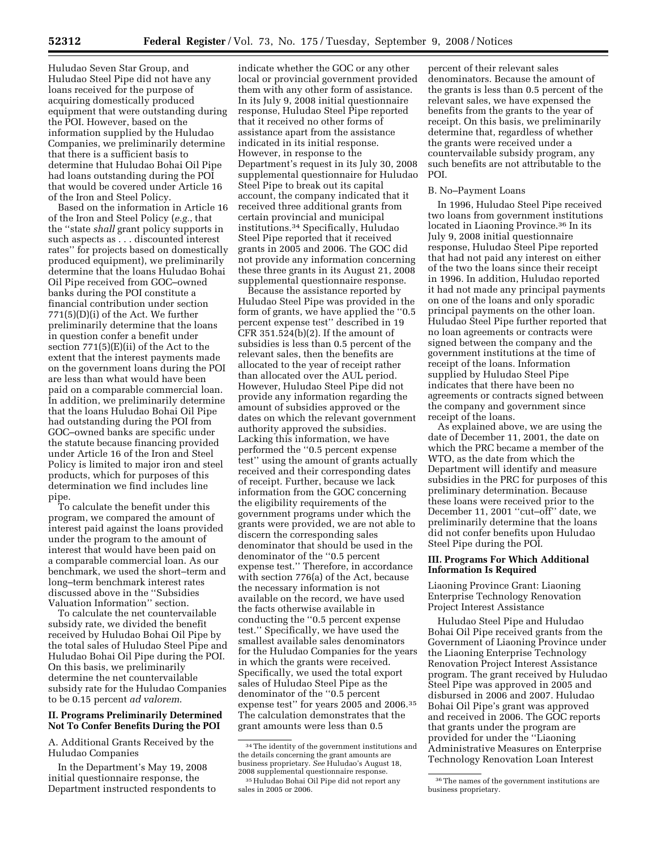Huludao Seven Star Group, and Huludao Steel Pipe did not have any loans received for the purpose of acquiring domestically produced equipment that were outstanding during the POI. However, based on the information supplied by the Huludao Companies, we preliminarily determine that there is a sufficient basis to determine that Huludao Bohai Oil Pipe had loans outstanding during the POI that would be covered under Article 16 of the Iron and Steel Policy.

Based on the information in Article 16 of the Iron and Steel Policy (*e.g.*, that the ''state *shall* grant policy supports in such aspects as . . . discounted interest rates'' for projects based on domestically produced equipment), we preliminarily determine that the loans Huludao Bohai Oil Pipe received from GOC–owned banks during the POI constitute a financial contribution under section 771(5)(D)(i) of the Act. We further preliminarily determine that the loans in question confer a benefit under section 771(5)(E)(ii) of the Act to the extent that the interest payments made on the government loans during the POI are less than what would have been paid on a comparable commercial loan. In addition, we preliminarily determine that the loans Huludao Bohai Oil Pipe had outstanding during the POI from GOC–owned banks are specific under the statute because financing provided under Article 16 of the Iron and Steel Policy is limited to major iron and steel products, which for purposes of this determination we find includes line pipe.

To calculate the benefit under this program, we compared the amount of interest paid against the loans provided under the program to the amount of interest that would have been paid on a comparable commercial loan. As our benchmark, we used the short–term and long–term benchmark interest rates discussed above in the ''Subsidies Valuation Information'' section.

To calculate the net countervailable subsidy rate, we divided the benefit received by Huludao Bohai Oil Pipe by the total sales of Huludao Steel Pipe and Huludao Bohai Oil Pipe during the POI. On this basis, we preliminarily determine the net countervailable subsidy rate for the Huludao Companies to be 0.15 percent *ad valorem*.

## **II. Programs Preliminarily Determined Not To Confer Benefits During the POI**

A. Additional Grants Received by the Huludao Companies

In the Department's May 19, 2008 initial questionnaire response, the Department instructed respondents to

indicate whether the GOC or any other local or provincial government provided them with any other form of assistance. In its July 9, 2008 initial questionnaire response, Huludao Steel Pipe reported that it received no other forms of assistance apart from the assistance indicated in its initial response. However, in response to the Department's request in its July 30, 2008 supplemental questionnaire for Huludao Steel Pipe to break out its capital account, the company indicated that it received three additional grants from certain provincial and municipal institutions.34 Specifically, Huludao Steel Pipe reported that it received grants in 2005 and 2006. The GOC did not provide any information concerning these three grants in its August 21, 2008 supplemental questionnaire response.

Because the assistance reported by Huludao Steel Pipe was provided in the form of grants, we have applied the ''0.5 percent expense test'' described in 19 CFR 351.524(b)(2). If the amount of subsidies is less than 0.5 percent of the relevant sales, then the benefits are allocated to the year of receipt rather than allocated over the AUL period. However, Huludao Steel Pipe did not provide any information regarding the amount of subsidies approved or the dates on which the relevant government authority approved the subsidies. Lacking this information, we have performed the ''0.5 percent expense test'' using the amount of grants actually received and their corresponding dates of receipt. Further, because we lack information from the GOC concerning the eligibility requirements of the government programs under which the grants were provided, we are not able to discern the corresponding sales denominator that should be used in the denominator of the ''0.5 percent expense test.'' Therefore, in accordance with section 776(a) of the Act, because the necessary information is not available on the record, we have used the facts otherwise available in conducting the ''0.5 percent expense test.'' Specifically, we have used the smallest available sales denominators for the Huludao Companies for the years in which the grants were received. Specifically, we used the total export sales of Huludao Steel Pipe as the denominator of the ''0.5 percent expense test'' for years 2005 and 2006.35 The calculation demonstrates that the grant amounts were less than 0.5

percent of their relevant sales denominators. Because the amount of the grants is less than 0.5 percent of the relevant sales, we have expensed the benefits from the grants to the year of receipt. On this basis, we preliminarily determine that, regardless of whether the grants were received under a countervailable subsidy program, any such benefits are not attributable to the POI.

#### B. No–Payment Loans

In 1996, Huludao Steel Pipe received two loans from government institutions located in Liaoning Province.36 In its July 9, 2008 initial questionnaire response, Huludao Steel Pipe reported that had not paid any interest on either of the two the loans since their receipt in 1996. In addition, Huludao reported it had not made any principal payments on one of the loans and only sporadic principal payments on the other loan. Huludao Steel Pipe further reported that no loan agreements or contracts were signed between the company and the government institutions at the time of receipt of the loans. Information supplied by Huludao Steel Pipe indicates that there have been no agreements or contracts signed between the company and government since receipt of the loans.

As explained above, we are using the date of December 11, 2001, the date on which the PRC became a member of the WTO, as the date from which the Department will identify and measure subsidies in the PRC for purposes of this preliminary determination. Because these loans were received prior to the December 11, 2001 ''cut–off'' date, we preliminarily determine that the loans did not confer benefits upon Huludao Steel Pipe during the POI.

## **III. Programs For Which Additional Information Is Required**

Liaoning Province Grant: Liaoning Enterprise Technology Renovation Project Interest Assistance

Huludao Steel Pipe and Huludao Bohai Oil Pipe received grants from the Government of Liaoning Province under the Liaoning Enterprise Technology Renovation Project Interest Assistance program. The grant received by Huludao Steel Pipe was approved in 2005 and disbursed in 2006 and 2007. Huludao Bohai Oil Pipe's grant was approved and received in 2006. The GOC reports that grants under the program are provided for under the ''Liaoning Administrative Measures on Enterprise Technology Renovation Loan Interest

<sup>34</sup>The identity of the government institutions and the details concerning the grant amounts are business proprietary. *See* Huludao's August 18, <sup>35</sup> Huludao Bohai Oil Pipe did not report any sales in 2005 or 2006.

<sup>36</sup>The names of the government institutions are business proprietary.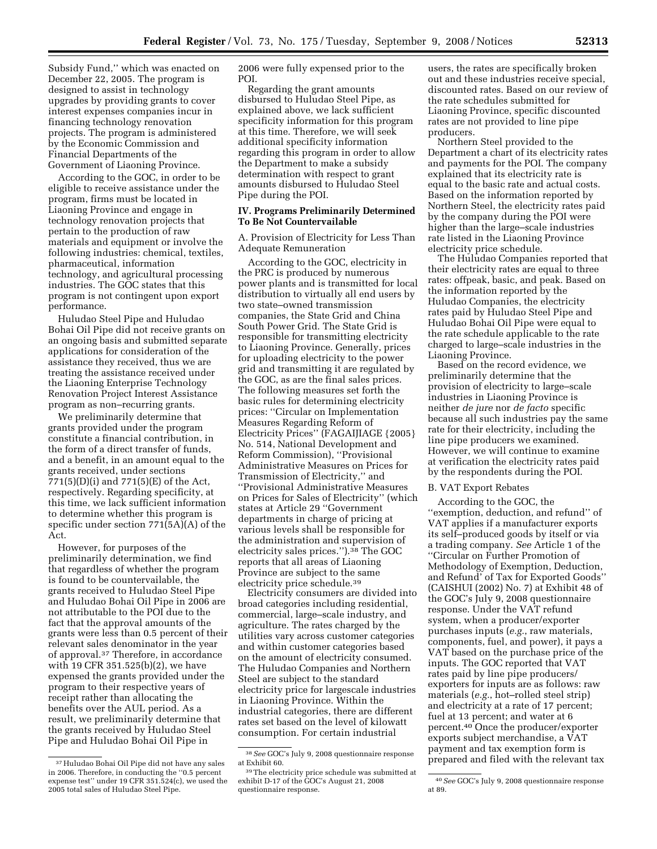Subsidy Fund,'' which was enacted on December 22, 2005. The program is designed to assist in technology upgrades by providing grants to cover interest expenses companies incur in financing technology renovation projects. The program is administered by the Economic Commission and Financial Departments of the Government of Liaoning Province.

According to the GOC, in order to be eligible to receive assistance under the program, firms must be located in Liaoning Province and engage in technology renovation projects that pertain to the production of raw materials and equipment or involve the following industries: chemical, textiles, pharmaceutical, information technology, and agricultural processing industries. The GOC states that this program is not contingent upon export performance.

Huludao Steel Pipe and Huludao Bohai Oil Pipe did not receive grants on an ongoing basis and submitted separate applications for consideration of the assistance they received, thus we are treating the assistance received under the Liaoning Enterprise Technology Renovation Project Interest Assistance program as non–recurring grants.

We preliminarily determine that grants provided under the program constitute a financial contribution, in the form of a direct transfer of funds, and a benefit, in an amount equal to the grants received, under sections 771(5)(D)(i) and 771(5)(E) of the Act, respectively. Regarding specificity, at this time, we lack sufficient information to determine whether this program is specific under section 771(5A)(A) of the Act.

However, for purposes of the preliminarily determination, we find that regardless of whether the program is found to be countervailable, the grants received to Huludao Steel Pipe and Huludao Bohai Oil Pipe in 2006 are not attributable to the POI due to the fact that the approval amounts of the grants were less than 0.5 percent of their relevant sales denominator in the year of approval.37 Therefore, in accordance with 19 CFR 351.525(b)(2), we have expensed the grants provided under the program to their respective years of receipt rather than allocating the benefits over the AUL period. As a result, we preliminarily determine that the grants received by Huludao Steel Pipe and Huludao Bohai Oil Pipe in

2006 were fully expensed prior to the POI.

Regarding the grant amounts disbursed to Huludao Steel Pipe, as explained above, we lack sufficient specificity information for this program at this time. Therefore, we will seek additional specificity information regarding this program in order to allow the Department to make a subsidy determination with respect to grant amounts disbursed to Huludao Steel Pipe during the POI.

## **IV. Programs Preliminarily Determined To Be Not Countervailable**

A. Provision of Electricity for Less Than Adequate Remuneration

According to the GOC, electricity in the PRC is produced by numerous power plants and is transmitted for local distribution to virtually all end users by two state–owned transmission companies, the State Grid and China South Power Grid. The State Grid is responsible for transmitting electricity to Liaoning Province. Generally, prices for uploading electricity to the power grid and transmitting it are regulated by the GOC, as are the final sales prices. The following measures set forth the basic rules for determining electricity prices: ''Circular on Implementation Measures Regarding Reform of Electricity Prices'' (FAGAIJIAGE {2005} No. 514, National Development and Reform Commission), ''Provisional Administrative Measures on Prices for Transmission of Electricity,'' and ''Provisional Administrative Measures on Prices for Sales of Electricity'' (which states at Article 29 ''Government departments in charge of pricing at various levels shall be responsible for the administration and supervision of electricity sales prices.'').38 The GOC reports that all areas of Liaoning Province are subject to the same electricity price schedule.39

Electricity consumers are divided into broad categories including residential, commercial, large–scale industry, and agriculture. The rates charged by the utilities vary across customer categories and within customer categories based on the amount of electricity consumed. The Huludao Companies and Northern Steel are subject to the standard electricity price for largescale industries in Liaoning Province. Within the industrial categories, there are different rates set based on the level of kilowatt consumption. For certain industrial

users, the rates are specifically broken out and these industries receive special, discounted rates. Based on our review of the rate schedules submitted for Liaoning Province, specific discounted rates are not provided to line pipe producers.

Northern Steel provided to the Department a chart of its electricity rates and payments for the POI. The company explained that its electricity rate is equal to the basic rate and actual costs. Based on the information reported by Northern Steel, the electricity rates paid by the company during the POI were higher than the large–scale industries rate listed in the Liaoning Province electricity price schedule.

The Huludao Companies reported that their electricity rates are equal to three rates: offpeak, basic, and peak. Based on the information reported by the Huludao Companies, the electricity rates paid by Huludao Steel Pipe and Huludao Bohai Oil Pipe were equal to the rate schedule applicable to the rate charged to large–scale industries in the Liaoning Province.

Based on the record evidence, we preliminarily determine that the provision of electricity to large–scale industries in Liaoning Province is neither *de jure* nor *de facto* specific because all such industries pay the same rate for their electricity, including the line pipe producers we examined. However, we will continue to examine at verification the electricity rates paid by the respondents during the POI.

#### B. VAT Export Rebates

According to the GOC, the ''exemption, deduction, and refund'' of VAT applies if a manufacturer exports its self–produced goods by itself or via a trading company. *See* Article 1 of the ''Circular on Further Promotion of Methodology of Exemption, Deduction, and Refund' of Tax for Exported Goods'' (CAISHUI (2002) No. 7) at Exhibit 48 of the GOC's July 9, 2008 questionnaire response. Under the VAT refund system, when a producer/exporter purchases inputs (*e.g.*, raw materials, components, fuel, and power), it pays a VAT based on the purchase price of the inputs. The GOC reported that VAT rates paid by line pipe producers/ exporters for inputs are as follows: raw materials (*e.g.*, hot–rolled steel strip) and electricity at a rate of 17 percent; fuel at 13 percent; and water at 6 percent.40 Once the producer/exporter exports subject merchandise, a VAT payment and tax exemption form is prepared and filed with the relevant tax

<sup>37</sup>Huludao Bohai Oil Pipe did not have any sales in 2006. Therefore, in conducting the ''0.5 percent expense test'' under 19 CFR 351.524(c), we used the 2005 total sales of Huludao Steel Pipe.

<sup>38</sup>*See* GOC's July 9, 2008 questionnaire response at Exhibit 60.

<sup>39</sup>The electricity price schedule was submitted at exhibit D-17 of the GOC's August 21, 2008 questionnaire response.

<sup>40</sup>*See* GOC's July 9, 2008 questionnaire response at 89.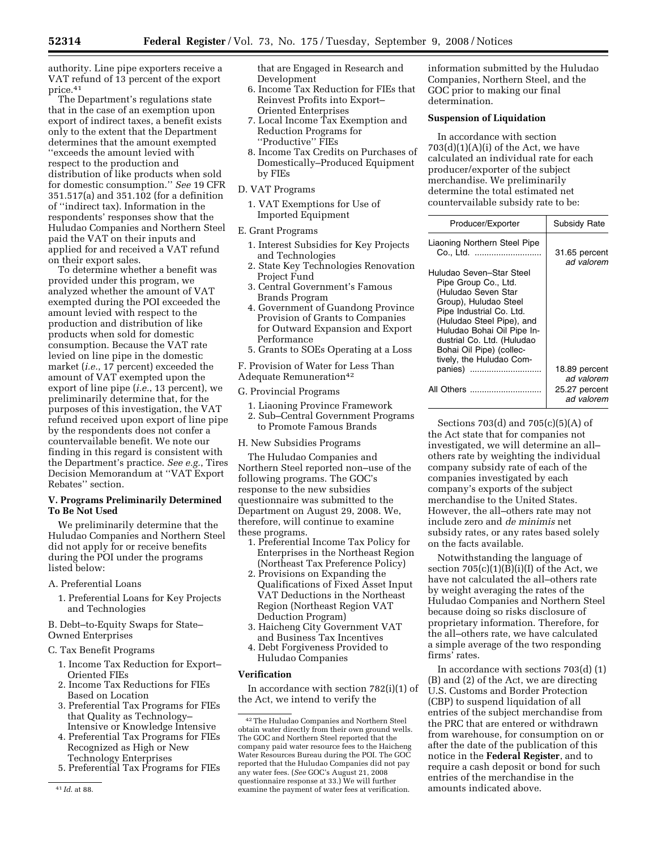authority. Line pipe exporters receive a VAT refund of 13 percent of the export price.41

The Department's regulations state that in the case of an exemption upon export of indirect taxes, a benefit exists only to the extent that the Department determines that the amount exempted ''exceeds the amount levied with respect to the production and distribution of like products when sold for domestic consumption.'' *See* 19 CFR 351.517(a) and 351.102 (for a definition of ''indirect tax). Information in the respondents' responses show that the Huludao Companies and Northern Steel paid the VAT on their inputs and applied for and received a VAT refund on their export sales.

To determine whether a benefit was provided under this program, we analyzed whether the amount of VAT exempted during the POI exceeded the amount levied with respect to the production and distribution of like products when sold for domestic consumption. Because the VAT rate levied on line pipe in the domestic market (*i.e.*, 17 percent) exceeded the amount of VAT exempted upon the export of line pipe (*i.e.*, 13 percent), we preliminarily determine that, for the purposes of this investigation, the VAT refund received upon export of line pipe by the respondents does not confer a countervailable benefit. We note our finding in this regard is consistent with the Department's practice. *See e.g.*, Tires Decision Memorandum at ''VAT Export Rebates'' section.

# **V. Programs Preliminarily Determined To Be Not Used**

We preliminarily determine that the Huludao Companies and Northern Steel did not apply for or receive benefits during the POI under the programs listed below:

- A. Preferential Loans
	- 1. Preferential Loans for Key Projects and Technologies

B. Debt–to-Equity Swaps for State– Owned Enterprises

- C. Tax Benefit Programs
	- 1. Income Tax Reduction for Export– Oriented FIEs
	- 2. Income Tax Reductions for FIEs Based on Location
	- 3. Preferential Tax Programs for FIEs that Quality as Technology– Intensive or Knowledge Intensive
	- 4. Preferential Tax Programs for FIEs Recognized as High or New Technology Enterprises
	- 5. Preferential Tax Programs for FIEs

that are Engaged in Research and Development

- 6. Income Tax Reduction for FIEs that Reinvest Profits into Export– Oriented Enterprises
- 7. Local Income Tax Exemption and Reduction Programs for ''Productive'' FIEs
- 8. Income Tax Credits on Purchases of Domestically–Produced Equipment by FIEs
- D. VAT Programs
	- 1. VAT Exemptions for Use of Imported Equipment
- E. Grant Programs
	- 1. Interest Subsidies for Key Projects and Technologies
	- 2. State Key Technologies Renovation Project Fund
	- 3. Central Government's Famous Brands Program
	- 4. Government of Guandong Province Provision of Grants to Companies for Outward Expansion and Export Performance
	- 5. Grants to SOEs Operating at a Loss

F. Provision of Water for Less Than Adequate Remuneration<sup>42</sup>

G. Provincial Programs

- 1. Liaoning Province Framework
- 2. Sub–Central Government Programs
- to Promote Famous Brands
- H. New Subsidies Programs

The Huludao Companies and Northern Steel reported non–use of the following programs. The GOC's response to the new subsidies questionnaire was submitted to the Department on August 29, 2008. We, therefore, will continue to examine these programs.

- 1. Preferential Income Tax Policy for Enterprises in the Northeast Region (Northeast Tax Preference Policy)
- 2. Provisions on Expanding the Qualifications of Fixed Asset Input VAT Deductions in the Northeast Region (Northeast Region VAT Deduction Program)
- 3. Haicheng City Government VAT and Business Tax Incentives
- 4. Debt Forgiveness Provided to Huludao Companies

### **Verification**

In accordance with section 782(i)(1) of the Act, we intend to verify the

information submitted by the Huludao Companies, Northern Steel, and the GOC prior to making our final determination.

# **Suspension of Liquidation**

In accordance with section  $703(d)(1)(A)(i)$  of the Act, we have calculated an individual rate for each producer/exporter of the subject merchandise. We preliminarily determine the total estimated net countervailable subsidy rate to be:

| Producer/Exporter                                                                                                                                                                                                                                                             | Subsidy Rate                |
|-------------------------------------------------------------------------------------------------------------------------------------------------------------------------------------------------------------------------------------------------------------------------------|-----------------------------|
| Liaoning Northern Steel Pipe<br>Co., Ltd.                                                                                                                                                                                                                                     | 31.65 percent<br>ad valorem |
| Huludao Seven–Star Steel<br>Pipe Group Co., Ltd.<br>(Huludao Seven Star<br>Group), Huludao Steel<br>Pipe Industrial Co. Ltd.<br>(Huludao Steel Pipe), and<br>Huludao Bohai Oil Pipe In-<br>dustrial Co. Ltd. (Huludao<br>Bohai Oil Pipe) (collec-<br>tively, the Huludao Com- |                             |
| panies)                                                                                                                                                                                                                                                                       | 18.89 percent<br>ad valorem |
| All Others                                                                                                                                                                                                                                                                    | 25.27 percent<br>ad valorem |

Sections 703(d) and 705(c)(5)(A) of the Act state that for companies not investigated, we will determine an all– others rate by weighting the individual company subsidy rate of each of the companies investigated by each company's exports of the subject merchandise to the United States. However, the all–others rate may not include zero and *de minimis* net subsidy rates, or any rates based solely on the facts available.

Notwithstanding the language of section  $705(c)(1)(B)(i)(I)$  of the Act, we have not calculated the all–others rate by weight averaging the rates of the Huludao Companies and Northern Steel because doing so risks disclosure of proprietary information. Therefore, for the all–others rate, we have calculated a simple average of the two responding firms' rates.

In accordance with sections 703(d) (1) (B) and (2) of the Act, we are directing U.S. Customs and Border Protection (CBP) to suspend liquidation of all entries of the subject merchandise from the PRC that are entered or withdrawn from warehouse, for consumption on or after the date of the publication of this notice in the **Federal Register**, and to require a cash deposit or bond for such entries of the merchandise in the amounts indicated above.

<sup>41</sup> *Id*. at 88.

<sup>42</sup>The Huludao Companies and Northern Steel obtain water directly from their own ground wells. The GOC and Northern Steel reported that the company paid water resource fees to the Haicheng Water Resources Bureau during the POI. The GOC reported that the Huludao Companies did not pay any water fees. (*See* GOC's August 21, 2008 questionnaire response at 33.) We will further examine the payment of water fees at verification.